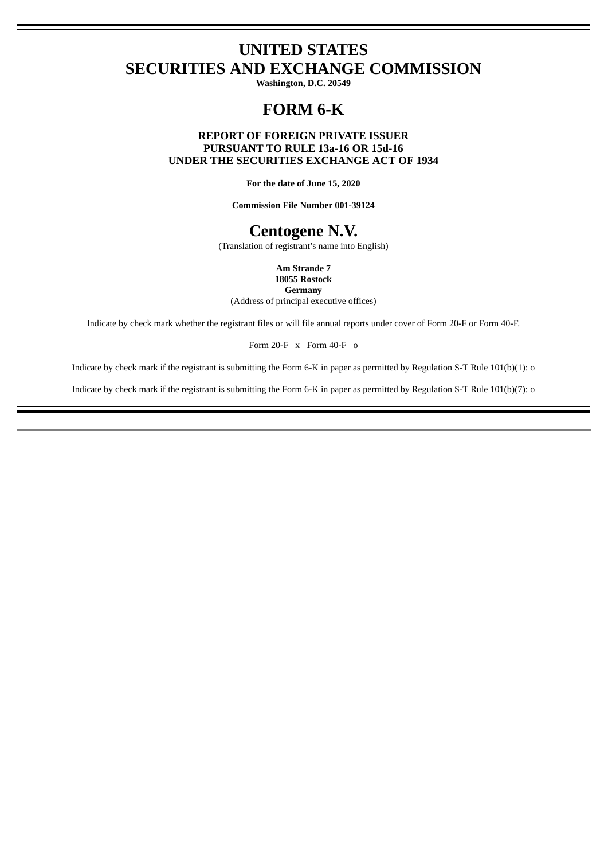# **UNITED STATES SECURITIES AND EXCHANGE COMMISSION**

**Washington, D.C. 20549**

# **FORM 6-K**

# **REPORT OF FOREIGN PRIVATE ISSUER PURSUANT TO RULE 13a-16 OR 15d-16 UNDER THE SECURITIES EXCHANGE ACT OF 1934**

**For the date of June 15, 2020**

**Commission File Number 001-39124**

# **Centogene N.V.**

(Translation of registrant's name into English)

**Am Strande 7 18055 Rostock Germany**

(Address of principal executive offices)

Indicate by check mark whether the registrant files or will file annual reports under cover of Form 20-F or Form 40-F.

Form 20-F x Form 40-F o

Indicate by check mark if the registrant is submitting the Form 6-K in paper as permitted by Regulation S-T Rule 101(b)(1): o

Indicate by check mark if the registrant is submitting the Form 6-K in paper as permitted by Regulation S-T Rule 101(b)(7): o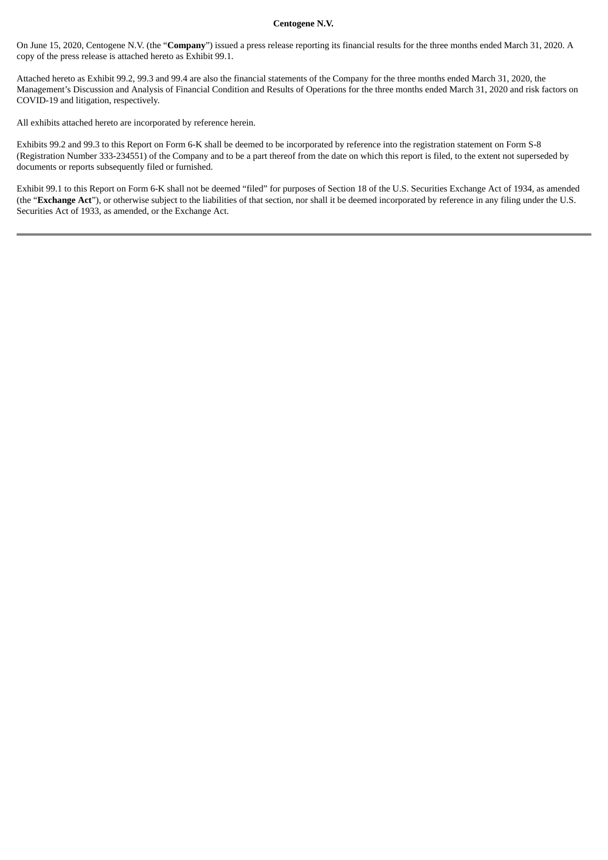#### **Centogene N.V.**

On June 15, 2020, Centogene N.V. (the "**Company**") issued a press release reporting its financial results for the three months ended March 31, 2020. A copy of the press release is attached hereto as Exhibit 99.1.

Attached hereto as Exhibit 99.2, 99.3 and 99.4 are also the financial statements of the Company for the three months ended March 31, 2020, the Management's Discussion and Analysis of Financial Condition and Results of Operations for the three months ended March 31, 2020 and risk factors on COVID-19 and litigation, respectively.

All exhibits attached hereto are incorporated by reference herein.

Exhibits 99.2 and 99.3 to this Report on Form 6-K shall be deemed to be incorporated by reference into the registration statement on Form S-8 (Registration Number 333-234551) of the Company and to be a part thereof from the date on which this report is filed, to the extent not superseded by documents or reports subsequently filed or furnished.

Exhibit 99.1 to this Report on Form 6-K shall not be deemed "filed" for purposes of Section 18 of the U.S. Securities Exchange Act of 1934, as amended (the "**Exchange Act**"), or otherwise subject to the liabilities of that section, nor shall it be deemed incorporated by reference in any filing under the U.S. Securities Act of 1933, as amended, or the Exchange Act.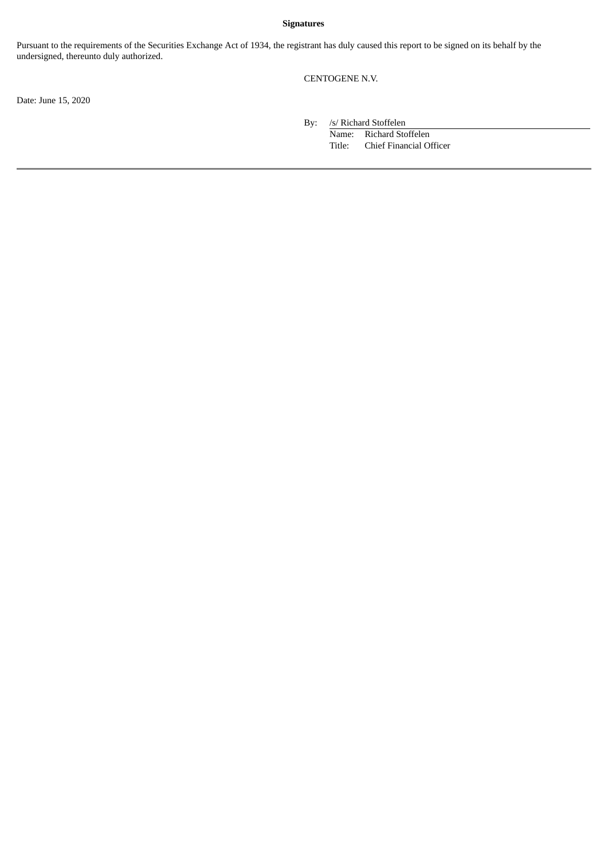# **Signatures**

Pursuant to the requirements of the Securities Exchange Act of 1934, the registrant has duly caused this report to be signed on its behalf by the undersigned, thereunto duly authorized.

CENTOGENE N.V.

Date: June 15, 2020

By: /s/ Richard Stoffelen

Name: Richard Stoffelen Title: Chief Financial Officer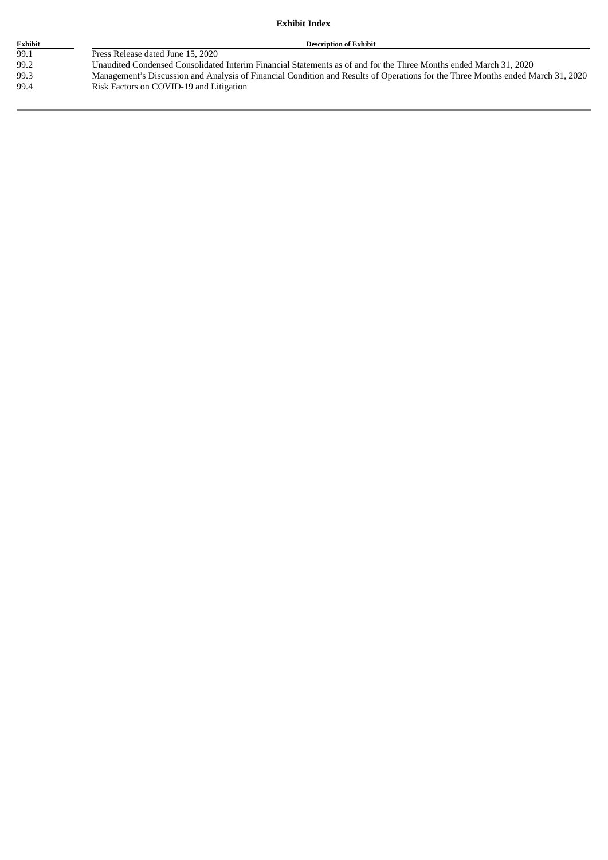# **Exhibit Index**

| Exhibit | <b>Description of Exhibit</b>                                                                                                   |
|---------|---------------------------------------------------------------------------------------------------------------------------------|
| 99.1    | Press Release dated June 15, 2020                                                                                               |
| 99.2    | Unaudited Condensed Consolidated Interim Financial Statements as of and for the Three Months ended March 31, 2020               |
| 99.3    | Management's Discussion and Analysis of Financial Condition and Results of Operations for the Three Months ended March 31, 2020 |
| 99.4    | Risk Factors on COVID-19 and Litigation                                                                                         |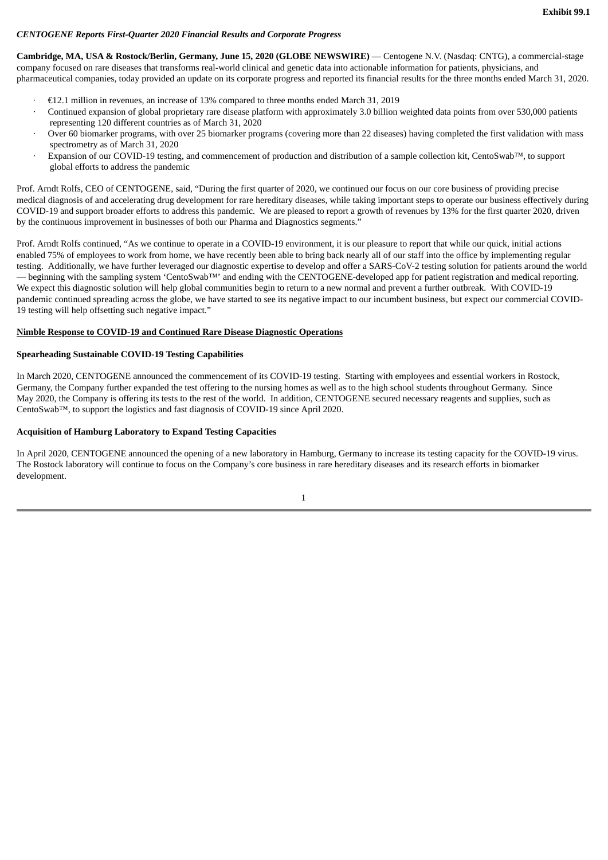# *CENTOGENE Reports First-Quarter 2020 Financial Results and Corporate Progress*

**Cambridge, MA, USA & Rostock/Berlin, Germany, June 15, 2020 (GLOBE NEWSWIRE)** — Centogene N.V. (Nasdaq: CNTG), a commercial-stage company focused on rare diseases that transforms real-world clinical and genetic data into actionable information for patients, physicians, and pharmaceutical companies, today provided an update on its corporate progress and reported its financial results for the three months ended March 31, 2020.

- · €12.1 million in revenues, an increase of 13% compared to three months ended March 31, 2019
- · Continued expansion of global proprietary rare disease platform with approximately 3.0 billion weighted data points from over 530,000 patients representing 120 different countries as of March 31, 2020
- · Over 60 biomarker programs, with over 25 biomarker programs (covering more than 22 diseases) having completed the first validation with mass spectrometry as of March 31, 2020
- · Expansion of our COVID-19 testing, and commencement of production and distribution of a sample collection kit, CentoSwab™, to support global efforts to address the pandemic

Prof. Arndt Rolfs, CEO of CENTOGENE, said, "During the first quarter of 2020, we continued our focus on our core business of providing precise medical diagnosis of and accelerating drug development for rare hereditary diseases, while taking important steps to operate our business effectively during COVID-19 and support broader efforts to address this pandemic. We are pleased to report a growth of revenues by 13% for the first quarter 2020, driven by the continuous improvement in businesses of both our Pharma and Diagnostics segments."

Prof. Arndt Rolfs continued, "As we continue to operate in a COVID-19 environment, it is our pleasure to report that while our quick, initial actions enabled 75% of employees to work from home, we have recently been able to bring back nearly all of our staff into the office by implementing regular testing. Additionally, we have further leveraged our diagnostic expertise to develop and offer a SARS-CoV-2 testing solution for patients around the world — beginning with the sampling system 'CentoSwab™' and ending with the CENTOGENE-developed app for patient registration and medical reporting. We expect this diagnostic solution will help global communities begin to return to a new normal and prevent a further outbreak. With COVID-19 pandemic continued spreading across the globe, we have started to see its negative impact to our incumbent business, but expect our commercial COVID-19 testing will help offsetting such negative impact."

# **Nimble Response to COVID-19 and Continued Rare Disease Diagnostic Operations**

#### **Spearheading Sustainable COVID-19 Testing Capabilities**

In March 2020, CENTOGENE announced the commencement of its COVID-19 testing. Starting with employees and essential workers in Rostock, Germany, the Company further expanded the test offering to the nursing homes as well as to the high school students throughout Germany. Since May 2020, the Company is offering its tests to the rest of the world. In addition, CENTOGENE secured necessary reagents and supplies, such as CentoSwab™, to support the logistics and fast diagnosis of COVID-19 since April 2020.

# **Acquisition of Hamburg Laboratory to Expand Testing Capacities**

In April 2020, CENTOGENE announced the opening of a new laboratory in Hamburg, Germany to increase its testing capacity for the COVID-19 virus. The Rostock laboratory will continue to focus on the Company's core business in rare hereditary diseases and its research efforts in biomarker development.

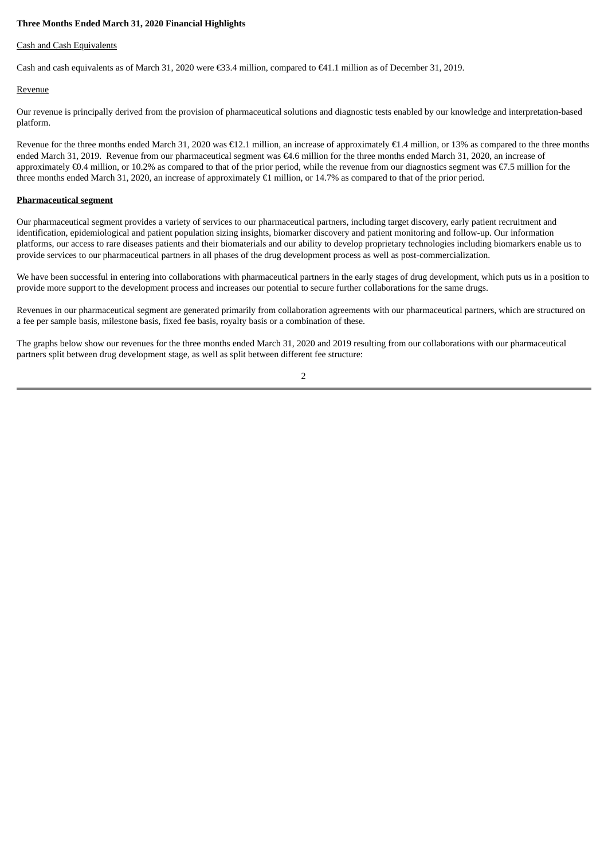# **Three Months Ended March 31, 2020 Financial Highlights**

#### Cash and Cash Equivalents

Cash and cash equivalents as of March 31, 2020 were €33.4 million, compared to €41.1 million as of December 31, 2019.

#### **Revenue**

Our revenue is principally derived from the provision of pharmaceutical solutions and diagnostic tests enabled by our knowledge and interpretation-based platform.

Revenue for the three months ended March 31, 2020 was €12.1 million, an increase of approximately €1.4 million, or 13% as compared to the three months ended March 31, 2019. Revenue from our pharmaceutical segment was €4.6 million for the three months ended March 31, 2020, an increase of approximately  $\epsilon$ 0.4 million, or 10.2% as compared to that of the prior period, while the revenue from our diagnostics segment was  $\epsilon$ 7.5 million for the three months ended March 31, 2020, an increase of approximately €1 million, or 14.7% as compared to that of the prior period.

#### **Pharmaceutical segment**

Our pharmaceutical segment provides a variety of services to our pharmaceutical partners, including target discovery, early patient recruitment and identification, epidemiological and patient population sizing insights, biomarker discovery and patient monitoring and follow-up. Our information platforms, our access to rare diseases patients and their biomaterials and our ability to develop proprietary technologies including biomarkers enable us to provide services to our pharmaceutical partners in all phases of the drug development process as well as post-commercialization.

We have been successful in entering into collaborations with pharmaceutical partners in the early stages of drug development, which puts us in a position to provide more support to the development process and increases our potential to secure further collaborations for the same drugs.

Revenues in our pharmaceutical segment are generated primarily from collaboration agreements with our pharmaceutical partners, which are structured on a fee per sample basis, milestone basis, fixed fee basis, royalty basis or a combination of these.

The graphs below show our revenues for the three months ended March 31, 2020 and 2019 resulting from our collaborations with our pharmaceutical partners split between drug development stage, as well as split between different fee structure:

# $\overline{2}$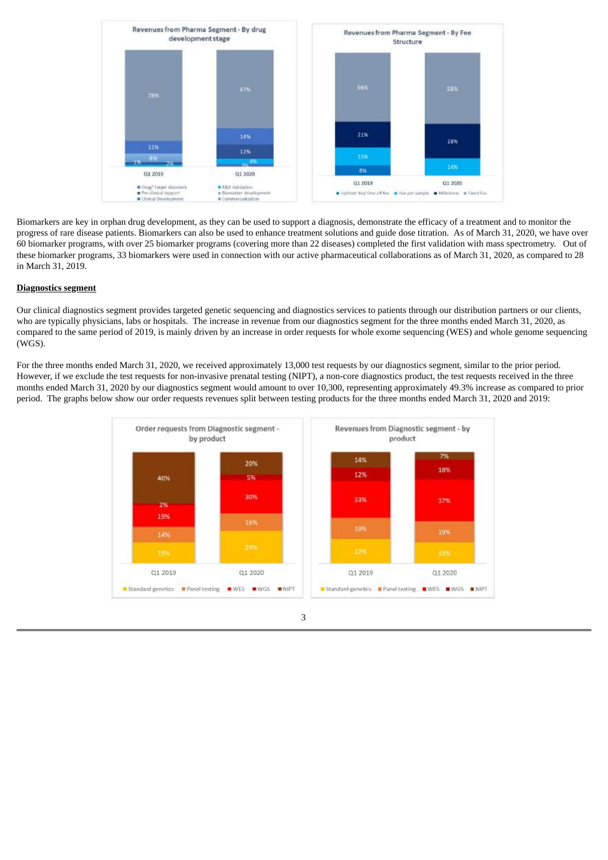

Biomarkers are key in orphan drug development, as they can be used to support a diagnosis, demonstrate the efficacy of a treatment and to monitor the progress of rare disease patients. Biomarkers can also be used to enhance treatment solutions and guide dose titration. As of March 31, 2020, we have over 60 biomarker programs, with over 25 biomarker programs (covering more than 22 diseases) completed the first validation with mass spectrometry. Out of these biomarker programs, 33 biomarkers were used in connection with our active pharmaceutical collaborations as of March 31, 2020, as compared to 28 in March 31, 2019.

## **Diagnostics segment**

Our clinical diagnostics segment provides targeted genetic sequencing and diagnostics services to patients through our distribution partners or our clients, who are typically physicians, labs or hospitals. The increase in revenue from our diagnostics segment for the three months ended March 31, 2020, as compared to the same period of 2019, is mainly driven by an increase in order requests for whole exome sequencing (WES) and whole genome sequencing (WGS).

For the three months ended March 31, 2020, we received approximately 13,000 test requests by our diagnostics segment, similar to the prior period. However, if we exclude the test requests for non-invasive prenatal testing (NIPT), a non-core diagnostics product, the test requests received in the three months ended March 31, 2020 by our diagnostics segment would amount to over 10,300, representing approximately 49.3% increase as compared to prior period. The graphs below show our order requests revenues split between testing products for the three months ended March 31, 2020 and 2019:



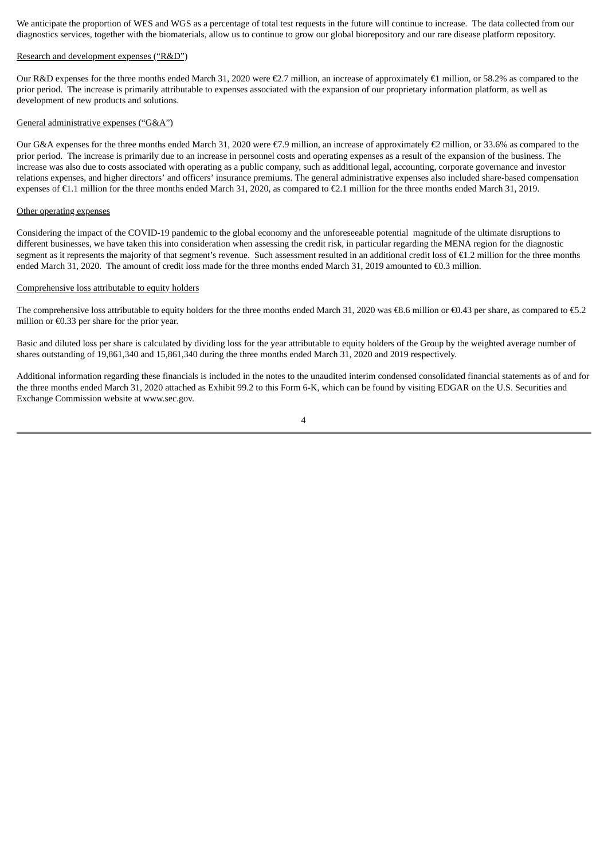We anticipate the proportion of WES and WGS as a percentage of total test requests in the future will continue to increase. The data collected from our diagnostics services, together with the biomaterials, allow us to continue to grow our global biorepository and our rare disease platform repository.

#### Research and development expenses ("R&D")

Our R&D expenses for the three months ended March 31, 2020 were €2.7 million, an increase of approximately €1 million, or 58.2% as compared to the prior period. The increase is primarily attributable to expenses associated with the expansion of our proprietary information platform, as well as development of new products and solutions.

#### General administrative expenses ("G&A")

Our G&A expenses for the three months ended March 31, 2020 were €7.9 million, an increase of approximately €2 million, or 33.6% as compared to the prior period. The increase is primarily due to an increase in personnel costs and operating expenses as a result of the expansion of the business. The increase was also due to costs associated with operating as a public company, such as additional legal, accounting, corporate governance and investor relations expenses, and higher directors' and officers' insurance premiums. The general administrative expenses also included share-based compensation expenses of €1.1 million for the three months ended March 31, 2020, as compared to €2.1 million for the three months ended March 31, 2019.

#### Other operating expenses

Considering the impact of the COVID-19 pandemic to the global economy and the unforeseeable potential magnitude of the ultimate disruptions to different businesses, we have taken this into consideration when assessing the credit risk, in particular regarding the MENA region for the diagnostic segment as it represents the majority of that segment's revenue. Such assessment resulted in an additional credit loss of  $\epsilon$ 1.2 million for the three months ended March 31, 2020. The amount of credit loss made for the three months ended March 31, 2019 amounted to €0.3 million.

#### Comprehensive loss attributable to equity holders

The comprehensive loss attributable to equity holders for the three months ended March 31, 2020 was  $\epsilon$ 8.6 million or  $\epsilon$ 0.43 per share, as compared to  $\epsilon$ 5.2 million or €0.33 per share for the prior year.

Basic and diluted loss per share is calculated by dividing loss for the year attributable to equity holders of the Group by the weighted average number of shares outstanding of 19,861,340 and 15,861,340 during the three months ended March 31, 2020 and 2019 respectively.

Additional information regarding these financials is included in the notes to the unaudited interim condensed consolidated financial statements as of and for the three months ended March 31, 2020 attached as Exhibit 99.2 to this Form 6-K, which can be found by visiting EDGAR on the U.S. Securities and Exchange Commission website at www.sec.gov.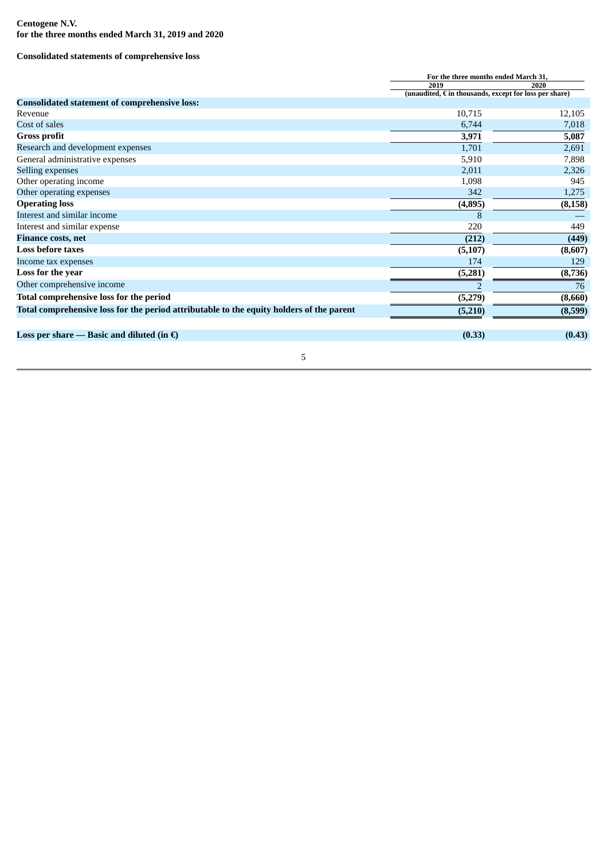# **Centogene N.V. for the three months ended March 31, 2019 and 2020**

# **Consolidated statements of comprehensive loss**

|                                                                                          | For the three months ended March 31,                            |          |  |
|------------------------------------------------------------------------------------------|-----------------------------------------------------------------|----------|--|
|                                                                                          | 2019                                                            | 2020     |  |
|                                                                                          | (unaudited, $\epsilon$ in thousands, except for loss per share) |          |  |
| <b>Consolidated statement of comprehensive loss:</b>                                     |                                                                 |          |  |
| Revenue                                                                                  | 10,715                                                          | 12,105   |  |
| Cost of sales                                                                            | 6,744                                                           | 7,018    |  |
| <b>Gross profit</b>                                                                      | 3,971                                                           | 5,087    |  |
| Research and development expenses                                                        | 1,701                                                           | 2,691    |  |
| General administrative expenses                                                          | 5,910                                                           | 7,898    |  |
| Selling expenses                                                                         | 2,011                                                           | 2,326    |  |
| Other operating income                                                                   | 1,098                                                           | 945      |  |
| Other operating expenses                                                                 | 342                                                             | 1,275    |  |
| <b>Operating loss</b>                                                                    | (4, 895)                                                        | (8, 158) |  |
| Interest and similar income                                                              | 8                                                               |          |  |
| Interest and similar expense                                                             | 220                                                             | 449      |  |
| <b>Finance costs, net</b>                                                                | (212)                                                           | (449)    |  |
| <b>Loss before taxes</b>                                                                 | (5, 107)                                                        | (8,607)  |  |
| Income tax expenses                                                                      | 174                                                             | 129      |  |
| Loss for the year                                                                        | (5,281)                                                         | (8,736)  |  |
| Other comprehensive income                                                               | 2                                                               | 76       |  |
| <b>Total comprehensive loss for the period</b>                                           | (5,279)                                                         | (8,660)  |  |
| Total comprehensive loss for the period attributable to the equity holders of the parent | (5,210)                                                         | (8,599)  |  |
| Loss per share — Basic and diluted (in $\epsilon$ )                                      | (0.33)                                                          | (0.43)   |  |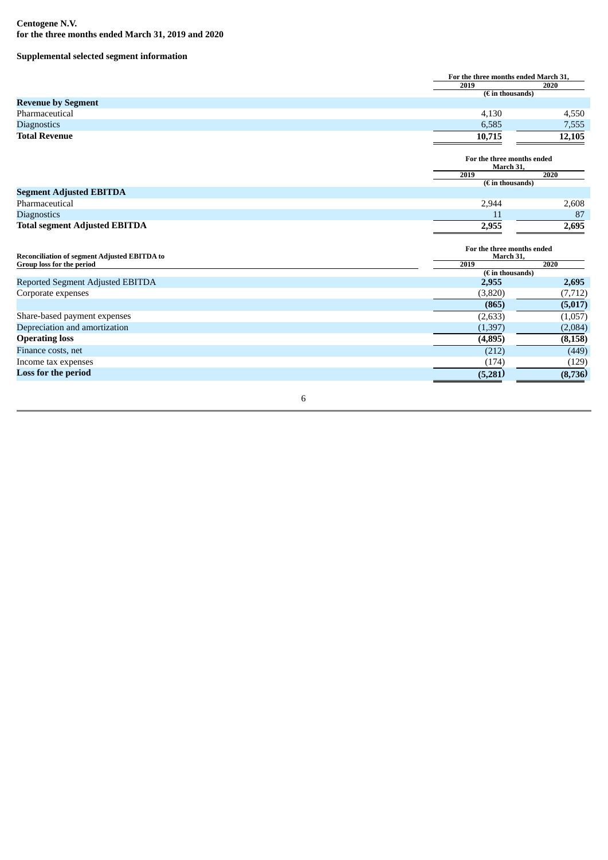**C e n t o g e n e N .V.** for the three months ended March 31, 2019 and 2020

Supplemental selected segment information

|                                                     |                                         | For the three months ended March 31, |  |  |
|-----------------------------------------------------|-----------------------------------------|--------------------------------------|--|--|
|                                                     | 2019                                    | 2020                                 |  |  |
|                                                     | $(E \text{ in thousands})$              |                                      |  |  |
| <b>Revenue by Segment</b>                           |                                         |                                      |  |  |
| Pharmaceutical                                      | 4,130                                   | 4,550                                |  |  |
| <b>Diagnostics</b>                                  | 6,585                                   | 7,555                                |  |  |
| <b>Total Revenue</b>                                | 10,715                                  | 12,105                               |  |  |
|                                                     | For the three months ended<br>March 31, |                                      |  |  |
|                                                     | 2019                                    | 2020                                 |  |  |
| <b>Segment Adjusted EBITDA</b>                      | $(E$ in thousands)                      |                                      |  |  |
| Pharmaceutical                                      | 2,944                                   | 2,608                                |  |  |
|                                                     | 11                                      |                                      |  |  |
| <b>Diagnostics</b>                                  |                                         | 87                                   |  |  |
| <b>Total segment Adjusted EBITDA</b>                | 2,955                                   | 2,695                                |  |  |
| <b>Reconciliation of segment Adjusted EBITDA to</b> | For the three months ended<br>March 31, |                                      |  |  |
| Group loss for the period                           | 2019                                    | 2020                                 |  |  |
|                                                     | $(E$ in thousands)                      |                                      |  |  |
| Reported Segment Adjusted EBITDA                    | 2,955                                   | 2,695                                |  |  |
| Corporate expenses                                  | (3,820)                                 | (7, 712)                             |  |  |
|                                                     | (865)                                   | (5,017)                              |  |  |
| Share-based payment expenses                        | (2,633)                                 | (1,057)                              |  |  |
| Depreciation and amortization                       | (1, 397)                                | (2,084)                              |  |  |
| <b>Operating loss</b>                               | (4, 895)                                | (8, 158)                             |  |  |
| Finance costs, net                                  | (212)                                   | (449)                                |  |  |
| Income tax expenses                                 | (174)                                   | (129)                                |  |  |
| Loss for the period                                 | (5,281)                                 | (8,736)                              |  |  |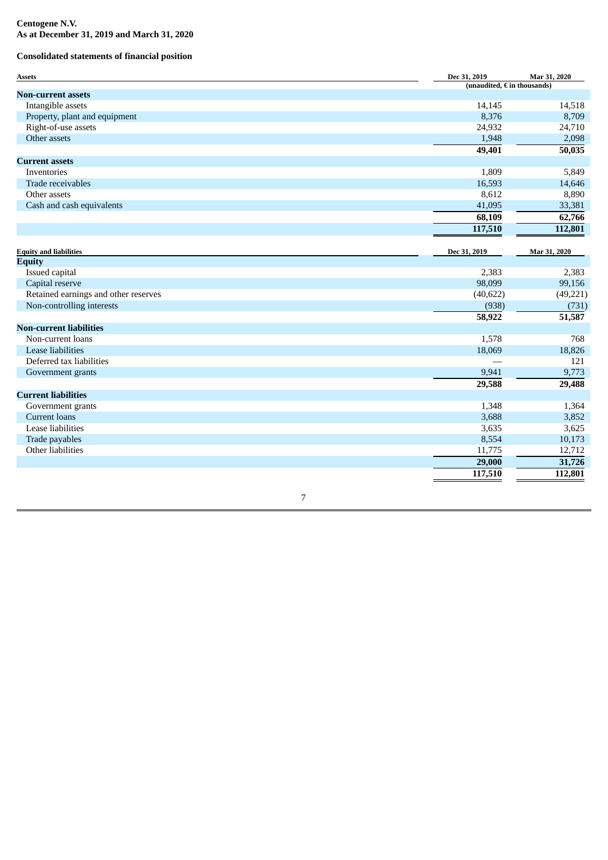# **C e n t o g e n e N .V.** As at December 31, 2019 and March 31, 2020

# **Consolidated statements of financial position**

| <b>Assets</b>                 | Dec 31, 2019 | Mar 31, 2020<br>(unaudited, $\epsilon$ in thousands) |
|-------------------------------|--------------|------------------------------------------------------|
| <b>Non-current assets</b>     |              |                                                      |
| Intangible assets             | 14,145       | 14,518                                               |
| Property, plant and equipment | 8,376        | 8,709                                                |
| Right-of-use assets           | 24,932       | 24,710                                               |
| Other assets                  | 1,948        | 2,098                                                |
|                               | 49,401       | 50,035                                               |
| <b>Current assets</b>         |              |                                                      |
| Inventories                   | 1,809        | 5,849                                                |
| Trade receivables             | 16,593       | 14,646                                               |
| Other assets                  | 8,612        | 8,890                                                |
| Cash and cash equivalents     | 41,095       | 33,381                                               |
|                               | 68,109       | 62,766                                               |
|                               | 117,510      | 112,801                                              |

| <b>Equity and liabilities</b>        | Dec 31, 2019 | Mar 31, 2020 |
|--------------------------------------|--------------|--------------|
| <b>Equity</b>                        |              |              |
| Issued capital                       | 2,383        | 2,383        |
| Capital reserve                      | 98,099       | 99,156       |
| Retained earnings and other reserves | (40,622)     | (49, 221)    |
| Non-controlling interests            | (938)        | (731)        |
|                                      | 58,922       | 51,587       |
| <b>Non-current liabilities</b>       |              |              |
| Non-current loans                    | 1,578        | 768          |
| Lease liabilities                    | 18,069       | 18,826       |
| Deferred tax liabilities             |              | 121          |
| Government grants                    | 9,941        | 9,773        |
|                                      | 29,588       | 29,488       |
| <b>Current liabilities</b>           |              |              |
| Government grants                    | 1,348        | 1,364        |
| Current loans                        | 3,688        | 3,852        |
| Lease liabilities                    | 3,635        | 3,625        |
| Trade payables                       | 8,554        | 10,173       |
| Other liabilities                    | 11,775       | 12,712       |
|                                      | 29,000       | 31,726       |
|                                      | 117,510      | 112,801      |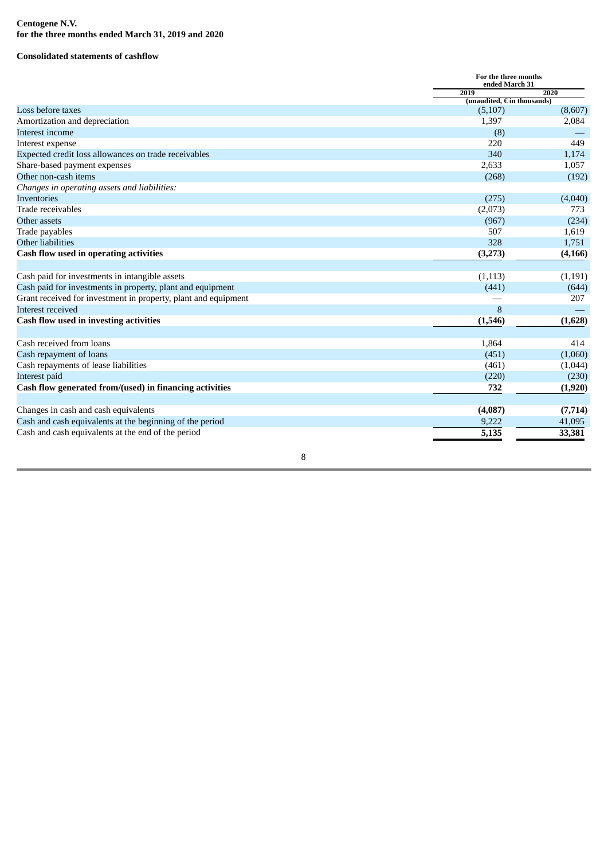# **C e n t o g e n e N .V.** for the three months ended March 31, 2019 and 2020

# **Consolidated statements of cashflow**

|                                                                | For the three months<br>ended March 31 |          |
|----------------------------------------------------------------|----------------------------------------|----------|
|                                                                | 2019                                   | 2020     |
|                                                                | (unaudited, $\epsilon$ in thousands)   |          |
| Loss before taxes                                              | (5,107)                                | (8,607)  |
| Amortization and depreciation                                  | 1,397                                  | 2,084    |
| Interest income                                                | (8)                                    |          |
| Interest expense                                               | 220                                    | 449      |
| Expected credit loss allowances on trade receivables           | 340                                    | 1,174    |
| Share-based payment expenses                                   | 2,633                                  | 1,057    |
| Other non-cash items                                           | (268)                                  | (192)    |
| Changes in operating assets and liabilities:                   |                                        |          |
| <b>Inventories</b>                                             | (275)                                  | (4,040)  |
| Trade receivables                                              | (2,073)                                | 773      |
| Other assets                                                   | (967)                                  | (234)    |
| Trade payables                                                 | 507                                    | 1,619    |
| <b>Other liabilities</b>                                       | 328                                    | 1,751    |
| <b>Cash flow used in operating activities</b>                  | (3,273)                                | (4, 166) |
|                                                                |                                        |          |
| Cash paid for investments in intangible assets                 | (1, 113)                               | (1,191)  |
| Cash paid for investments in property, plant and equipment     | (441)                                  | (644)    |
| Grant received for investment in property, plant and equipment |                                        | 207      |
| Interest received                                              | 8                                      |          |
| Cash flow used in investing activities                         | (1,546)                                | (1,628)  |
|                                                                |                                        |          |
| Cash received from loans                                       | 1,864                                  | 414      |
| Cash repayment of loans                                        | (451)                                  | (1,060)  |
| Cash repayments of lease liabilities                           | (461)                                  | (1,044)  |
| Interest paid                                                  | (220)                                  | (230)    |
| Cash flow generated from/(used) in financing activities        | 732                                    | (1,920)  |
| Changes in cash and cash equivalents                           |                                        |          |
|                                                                | (4,087)                                | (7,714)  |
| Cash and cash equivalents at the beginning of the period       | 9,222                                  | 41,095   |
| Cash and cash equivalents at the end of the period             | 5,135                                  | 33,381   |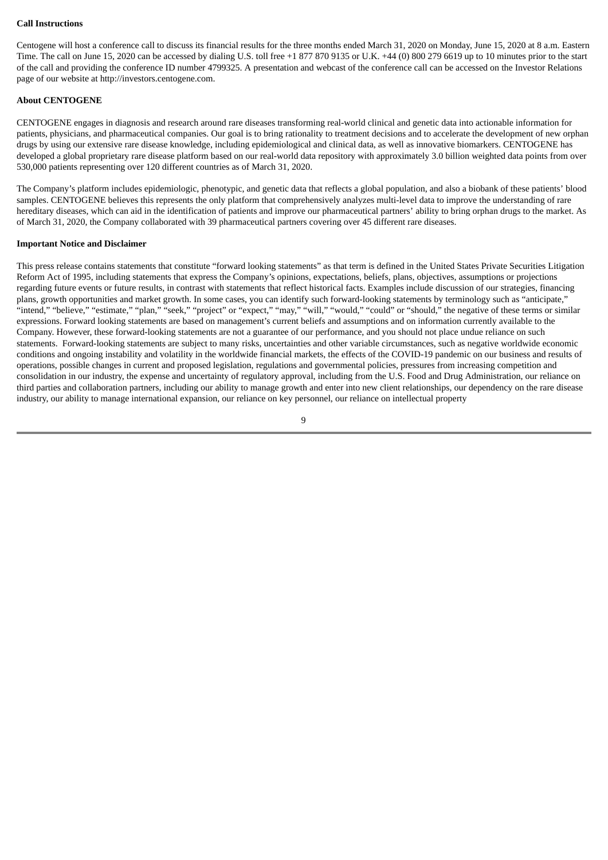# **Call Instructions**

Centogene will host a conference call to discuss its financial results for the three months ended March 31, 2020 on Monday, June 15, 2020 at 8 a.m. Eastern Time. The call on June 15, 2020 can be accessed by dialing U.S. toll free +1 877 870 9135 or U.K. +44 (0) 800 279 6619 up to 10 minutes prior to the start of the call and providing the conference ID number 4799325. A presentation and webcast of the conference call can be accessed on the Investor Relations page of our website at http://investors.centogene.com.

# **About CENTOGENE**

CENTOGENE engages in diagnosis and research around rare diseases transforming real-world clinical and genetic data into actionable information for patients, physicians, and pharmaceutical companies. Our goal is to bring rationality to treatment decisions and to accelerate the development of new orphan drugs by using our extensive rare disease knowledge, including epidemiological and clinical data, as well as innovative biomarkers. CENTOGENE has developed a global proprietary rare disease platform based on our real-world data repository with approximately 3.0 billion weighted data points from over 530,000 patients representing over 120 different countries as of March 31, 2020.

The Company's platform includes epidemiologic, phenotypic, and genetic data that reflects a global population, and also a biobank of these patients' blood samples. CENTOGENE believes this represents the only platform that comprehensively analyzes multi-level data to improve the understanding of rare hereditary diseases, which can aid in the identification of patients and improve our pharmaceutical partners' ability to bring orphan drugs to the market. As of March 31, 2020, the Company collaborated with 39 pharmaceutical partners covering over 45 different rare diseases.

#### **Important Notice and Disclaimer**

This press release contains statements that constitute "forward looking statements" as that term is defined in the United States Private Securities Litigation Reform Act of 1995, including statements that express the Company's opinions, expectations, beliefs, plans, objectives, assumptions or projections regarding future events or future results, in contrast with statements that reflect historical facts. Examples include discussion of our strategies, financing plans, growth opportunities and market growth. In some cases, you can identify such forward-looking statements by terminology such as "anticipate," "intend," "believe," "estimate," "plan," "seek," "project" or "expect," "may," "will," "would," "could" or "should," the negative of these terms or similar expressions. Forward looking statements are based on management's current beliefs and assumptions and on information currently available to the Company. However, these forward-looking statements are not a guarantee of our performance, and you should not place undue reliance on such statements. Forward-looking statements are subject to many risks, uncertainties and other variable circumstances, such as negative worldwide economic conditions and ongoing instability and volatility in the worldwide financial markets, the effects of the COVID-19 pandemic on our business and results of operations, possible changes in current and proposed legislation, regulations and governmental policies, pressures from increasing competition and consolidation in our industry, the expense and uncertainty of regulatory approval, including from the U.S. Food and Drug Administration, our reliance on third parties and collaboration partners, including our ability to manage growth and enter into new client relationships, our dependency on the rare disease industry, our ability to manage international expansion, our reliance on key personnel, our reliance on intellectual property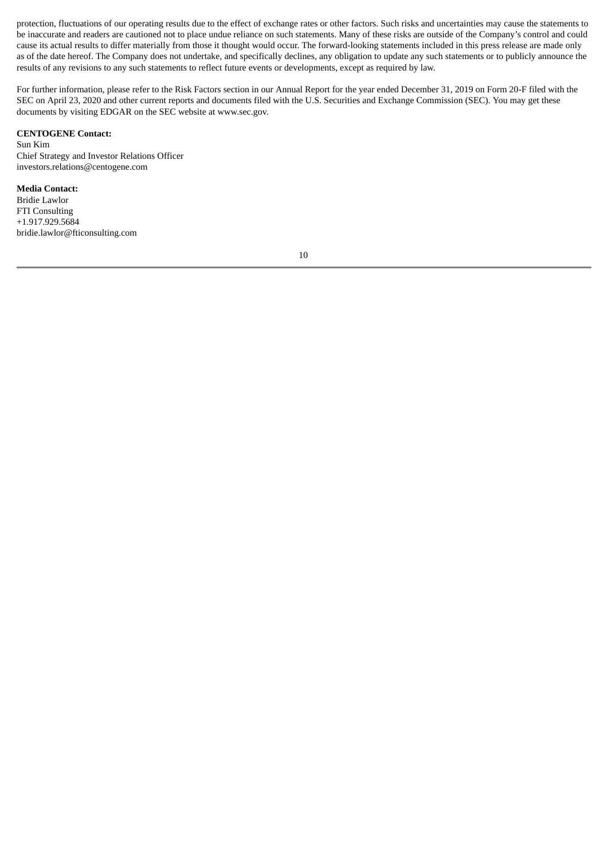protection, fluctuations of our operating results due to the effect of exchange rates or other factors. Such risks and uncertainties may cause the statements to be inaccurate and readers are cautioned not to place undue reliance on such statements. Many of these risks are outside of the Company's control and could cause its actual results to differ materially from those it thought would occur. The forward-looking statements included in this press release are made only as of the date hereof. The Company does not undertake, and specifically declines, any obligation to update any such statements or to publicly announce the results of any revisions to any such statements to reflect future events or developments, except as required by law.

For further information, please refer to the Risk Factors section in our Annual Report for the year ended December 31, 2019 on Form 20-F filed with the SEC on April 23, 2020 and other current reports and documents filed with the U.S. Securities and Exchange Commission (SEC). You may get these documents by visiting EDGAR on the SEC website at www.sec.gov.

# **CENTOGENE Contact:**

Sun Kim Chief Strategy and Investor Relations Officer investors.relations@centogene.com

# **Media Contact:**

Bridie Lawlor FTI Consulting +1.917.929.5684 bridie.lawlor@fticonsulting.com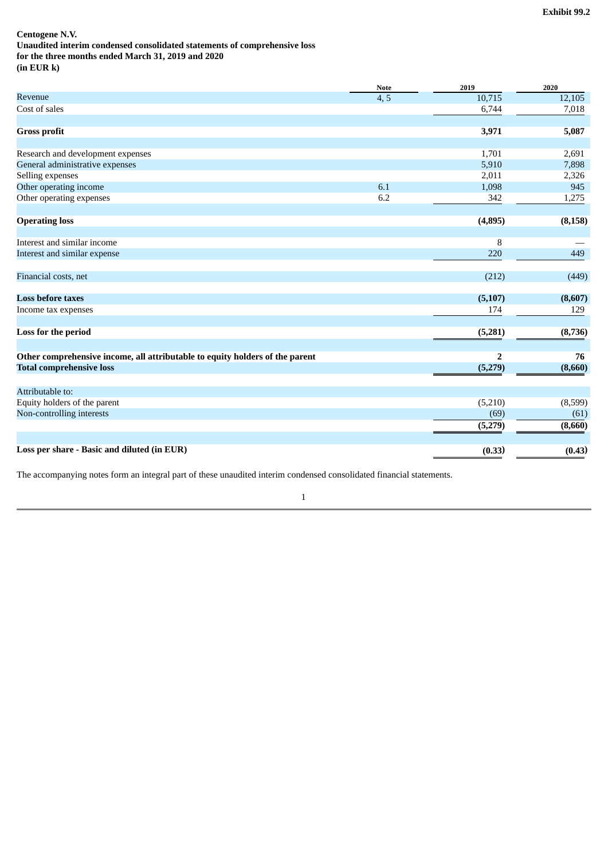# **Centogene N.V.**

# **Unaudited interim condensed consolidated statements of comprehensive loss**

**for the three months ended March 31, 2019 and 2020**

**(in EUR k)**

|                                                                              | <b>Note</b> | 2019           | 2020     |
|------------------------------------------------------------------------------|-------------|----------------|----------|
| Revenue                                                                      | 4, 5        | 10,715         | 12,105   |
| Cost of sales                                                                |             | 6,744          | 7,018    |
| <b>Gross profit</b>                                                          |             | 3,971          | 5,087    |
|                                                                              |             |                |          |
| Research and development expenses                                            |             | 1,701          | 2,691    |
| General administrative expenses                                              |             | 5,910          | 7,898    |
| Selling expenses                                                             |             | 2,011          | 2,326    |
| Other operating income                                                       | 6.1         | 1,098          | 945      |
| Other operating expenses                                                     | 6.2         | 342            | 1,275    |
| <b>Operating loss</b>                                                        |             | (4, 895)       | (8, 158) |
| Interest and similar income                                                  |             | 8              |          |
| Interest and similar expense                                                 |             | 220            | 449      |
|                                                                              |             |                |          |
| Financial costs, net                                                         |             | (212)          | (449)    |
| <b>Loss before taxes</b>                                                     |             | (5, 107)       | (8,607)  |
| Income tax expenses                                                          |             | 174            | 129      |
| Loss for the period                                                          |             | (5,281)        | (8,736)  |
| Other comprehensive income, all attributable to equity holders of the parent |             | $\overline{2}$ | 76       |
| <b>Total comprehensive loss</b>                                              |             | (5,279)        | (8,660)  |
|                                                                              |             |                |          |
| Attributable to:                                                             |             |                |          |
| Equity holders of the parent                                                 |             | (5,210)        | (8,599)  |
| Non-controlling interests                                                    |             | (69)           | (61)     |
|                                                                              |             | (5,279)        | (8,660)  |
| Loss per share - Basic and diluted (in EUR)                                  |             | (0.33)         | (0.43)   |
|                                                                              |             |                |          |

The accompanying notes form an integral part of these unaudited interim condensed consolidated financial statements.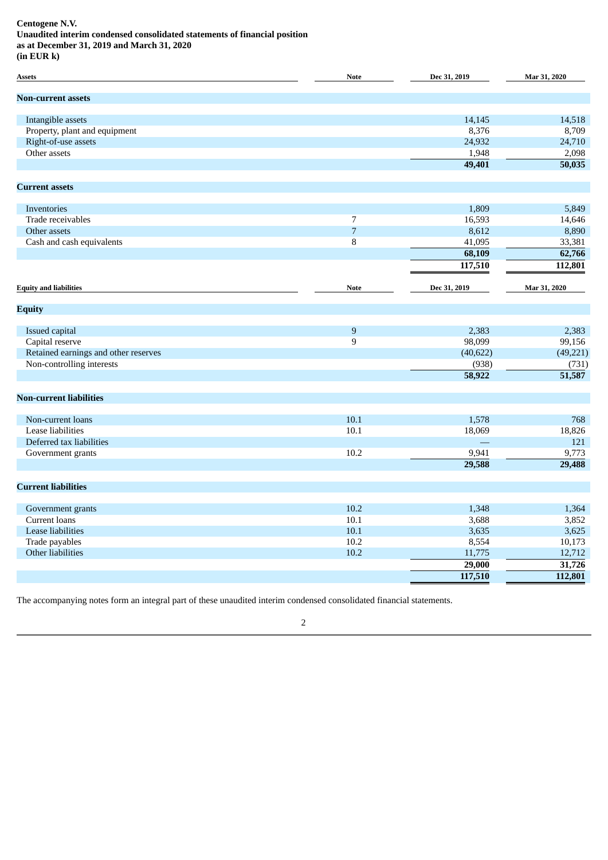# **Centogene N.V. Unaudited interim condensed consolidated statements of financial position as at December 31, 2019 and March 31, 2020 (in EUR k)**

| Assets                               | <b>Note</b>    | Dec 31, 2019    | Mar 31, 2020    |
|--------------------------------------|----------------|-----------------|-----------------|
| <b>Non-current assets</b>            |                |                 |                 |
| Intangible assets                    |                | 14,145          | 14,518          |
| Property, plant and equipment        |                | 8,376           | 8,709           |
| Right-of-use assets                  |                | 24,932          | 24,710          |
| Other assets                         |                | 1,948           | 2,098           |
|                                      |                | 49,401          | 50,035          |
| <b>Current assets</b>                |                |                 |                 |
| Inventories                          |                | 1,809           | 5,849           |
| Trade receivables                    | 7              | 16,593          | 14,646          |
| Other assets                         | $\overline{7}$ | 8,612           | 8,890           |
| Cash and cash equivalents            | 8              | 41,095          | 33,381          |
|                                      |                | 68,109          | 62,766          |
|                                      |                | 117,510         | 112,801         |
| <b>Equity and liabilities</b>        | <b>Note</b>    | Dec 31, 2019    | Mar 31, 2020    |
| <b>Equity</b>                        |                |                 |                 |
|                                      |                |                 |                 |
| Issued capital                       | 9              | 2,383           | 2,383           |
| Capital reserve                      | 9              | 98,099          | 99,156          |
| Retained earnings and other reserves |                | (40, 622)       | (49, 221)       |
| Non-controlling interests            |                | (938)<br>58,922 | (731)<br>51,587 |
|                                      |                |                 |                 |
| <b>Non-current liabilities</b>       |                |                 |                 |
| Non-current loans                    | 10.1           | 1,578           | 768             |
| Lease liabilities                    | 10.1           | 18,069          | 18,826          |
| Deferred tax liabilities             |                |                 | 121             |
| Government grants                    | 10.2           | 9,941           | 9,773           |
|                                      |                | 29,588          | 29,488          |
| <b>Current liabilities</b>           |                |                 |                 |
|                                      |                |                 |                 |
| Government grants                    | 10.2           | 1,348           | 1,364           |
| Current loans                        | 10.1           | 3,688           | 3,852           |
| Lease liabilities                    | 10.1           | 3,635           | 3,625           |
| Trade payables                       | 10.2           | 8,554           | 10,173          |
| Other liabilities                    | 10.2           | 11,775          | 12,712          |
|                                      |                | 29,000          | 31,726          |
|                                      |                | 117,510         | 112,801         |

The accompanying notes form an integral part of these unaudited interim condensed consolidated financial statements.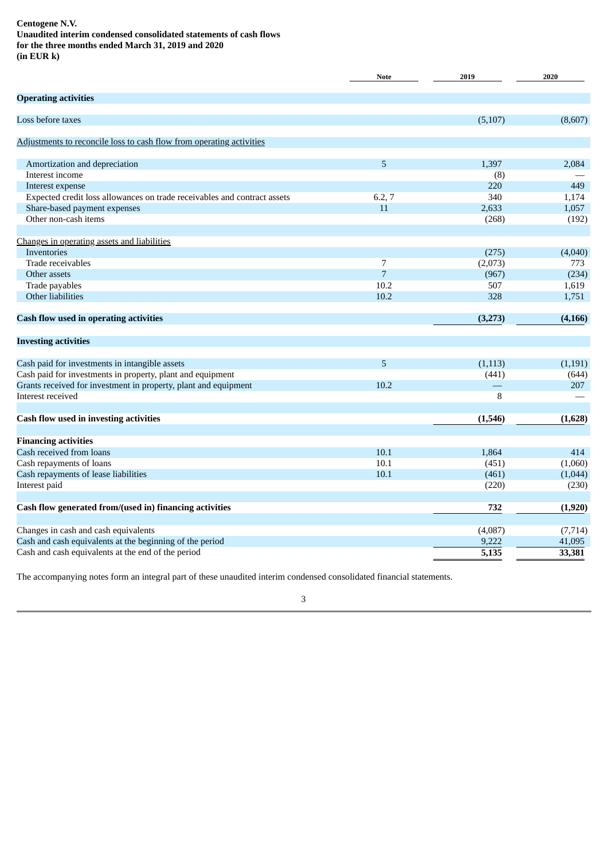# **Centogene N.V. Unaudited interim condensed consolidated statements of cash flows for the three months ended March 31, 2019 and 2020 (in EUR k)**

|                                                                          | <b>Note</b>    | 2019    | 2020     |
|--------------------------------------------------------------------------|----------------|---------|----------|
| <b>Operating activities</b>                                              |                |         |          |
| Loss before taxes                                                        |                | (5,107) | (8,607)  |
|                                                                          |                |         |          |
| Adjustments to reconcile loss to cash flow from operating activities     |                |         |          |
| Amortization and depreciation                                            | 5              | 1,397   | 2,084    |
| Interest income                                                          |                | (8)     |          |
| Interest expense                                                         |                | 220     | 449      |
| Expected credit loss allowances on trade receivables and contract assets | 6.2, 7         | 340     | 1,174    |
| Share-based payment expenses                                             | 11             | 2,633   | 1,057    |
| Other non-cash items                                                     |                | (268)   | (192)    |
| Changes in operating assets and liabilities                              |                |         |          |
| Inventories                                                              |                | (275)   | (4,040)  |
| Trade receivables                                                        | 7              | (2,073) | 773      |
| Other assets                                                             | $\overline{7}$ | (967)   | (234)    |
| Trade payables                                                           | 10.2           | 507     | 1,619    |
| Other liabilities                                                        | 10.2           | 328     | 1,751    |
| <b>Cash flow used in operating activities</b>                            |                | (3,273) | (4, 166) |
| <b>Investing activities</b>                                              |                |         |          |
|                                                                          |                |         |          |
| Cash paid for investments in intangible assets                           | 5              | (1,113) | (1,191)  |
| Cash paid for investments in property, plant and equipment               |                | (441)   | (644)    |
| Grants received for investment in property, plant and equipment          | 10.2           |         | 207      |
| Interest received                                                        |                | 8       |          |
| Cash flow used in investing activities                                   |                | (1,546) | (1,628)  |
| <b>Financing activities</b>                                              |                |         |          |
| Cash received from loans                                                 | 10.1           | 1,864   | 414      |
| Cash repayments of loans                                                 | 10.1           | (451)   | (1,060)  |
| Cash repayments of lease liabilities                                     | 10.1           | (461)   | (1,044)  |
| Interest paid                                                            |                | (220)   | (230)    |
|                                                                          |                |         |          |
| Cash flow generated from/(used in) financing activities                  |                | 732     | (1,920)  |
| Changes in cash and cash equivalents                                     |                | (4,087) | (7, 714) |
| Cash and cash equivalents at the beginning of the period                 |                | 9,222   | 41,095   |
| Cash and cash equivalents at the end of the period                       |                | 5,135   | 33,381   |

The accompanying notes form an integral part of these unaudited interim condensed consolidated financial statements.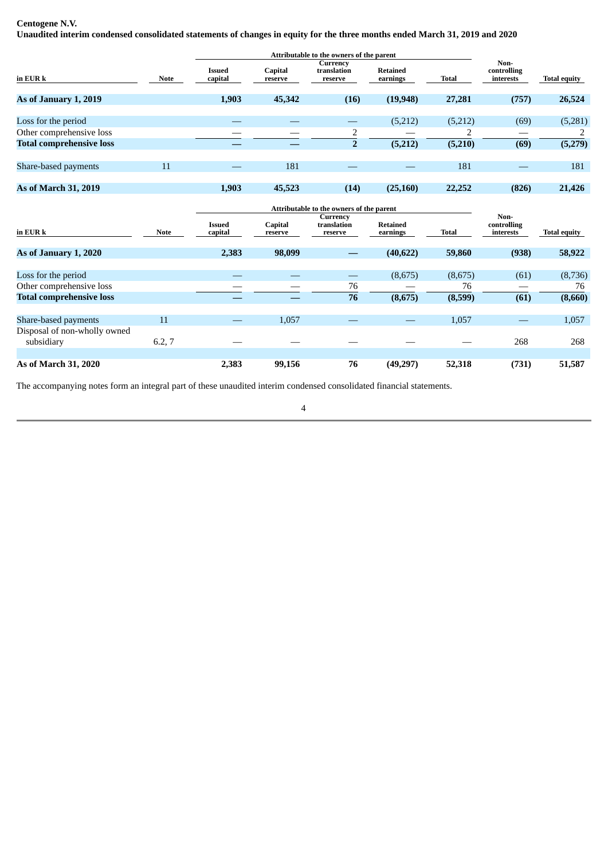# **Centogene N.V.**

Unaudited interim condensed consolidated statements of changes in equity for the three months ended March 31, 2019 and 2020

|                                 |             |                          |                    | Attributable to the owners of the parent |                             |         |                                  |                     |
|---------------------------------|-------------|--------------------------|--------------------|------------------------------------------|-----------------------------|---------|----------------------------------|---------------------|
| in EUR k                        | <b>Note</b> | <b>Issued</b><br>capital | Capital<br>reserve | Currency<br>translation<br>reserve       | <b>Retained</b><br>earnings | Total   | Non-<br>controlling<br>interests | <b>Total equity</b> |
| As of January 1, 2019           |             | 1,903                    | 45,342             | (16)                                     | (19, 948)                   | 27,281  | (757)                            | 26,524              |
|                                 |             |                          |                    |                                          |                             |         |                                  |                     |
| Loss for the period             |             |                          |                    |                                          | (5,212)                     | (5,212) | (69)                             | (5,281)             |
| Other comprehensive loss        |             |                          |                    | C.                                       |                             |         |                                  |                     |
| <b>Total comprehensive loss</b> |             |                          |                    | 2                                        | (5,212)                     | (5,210) | (69)                             | (5,279)             |
|                                 |             |                          |                    |                                          |                             |         |                                  |                     |
| Share-based payments            | 11          |                          | 181                |                                          |                             | 181     |                                  | 181                 |
|                                 |             |                          |                    |                                          |                             |         |                                  |                     |
| As of March 31, 2019            |             | 1,903                    | 45,523             | (14)                                     | (25, 160)                   | 22,252  | (826)                            | 21,426              |
|                                 |             |                          |                    |                                          |                             |         |                                  |                     |

|                                 |             | Attributable to the owners of the parent |                    |                                    |                      |              |                                  |                     |
|---------------------------------|-------------|------------------------------------------|--------------------|------------------------------------|----------------------|--------------|----------------------------------|---------------------|
| in EUR k                        | <b>Note</b> | <b>Issued</b><br>capital                 | Capital<br>reserve | Currency<br>translation<br>reserve | Retained<br>earnings | <b>Total</b> | Non-<br>controlling<br>interests | <b>Total equity</b> |
| As of January 1, 2020           |             | 2,383                                    | 98,099             |                                    | (40, 622)            | 59,860       | (938)                            | 58,922              |
|                                 |             |                                          |                    |                                    |                      |              |                                  |                     |
| Loss for the period             |             |                                          |                    |                                    | (8,675)              | (8,675)      | (61)                             | (8,736)             |
| Other comprehensive loss        |             |                                          |                    | 76                                 |                      | 76           |                                  | 76                  |
| <b>Total comprehensive loss</b> |             |                                          |                    | 76                                 | (8,675)              | (8,599)      | (61)                             | (8,660)             |
|                                 |             |                                          |                    |                                    |                      |              |                                  |                     |
| Share-based payments            | 11          |                                          | 1,057              |                                    |                      | 1,057        |                                  | 1,057               |
| Disposal of non-wholly owned    |             |                                          |                    |                                    |                      |              |                                  |                     |
| subsidiary                      | 6.2, 7      |                                          |                    |                                    |                      |              | 268                              | 268                 |
|                                 |             |                                          |                    |                                    |                      |              |                                  |                     |
| As of March 31, 2020            |             | 2,383                                    | 99,156             | 76                                 | (49, 297)            | 52,318       | (731)                            | 51,587              |

The accompanying notes form an integral part of these unaudited interim condensed consolidated financial statements.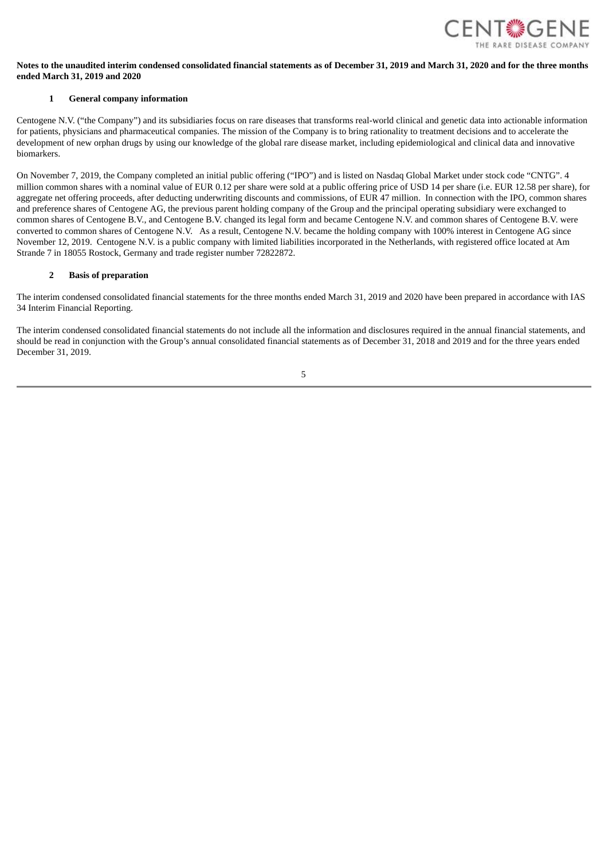

# **1 General company information**

Centogene N.V. ("the Company") and its subsidiaries focus on rare diseases that transforms real-world clinical and genetic data into actionable information for patients, physicians and pharmaceutical companies. The mission of the Company is to bring rationality to treatment decisions and to accelerate the development of new orphan drugs by using our knowledge of the global rare disease market, including epidemiological and clinical data and innovative biomarkers.

On November 7, 2019, the Company completed an initial public offering ("IPO") and is listed on Nasdaq Global Market under stock code "CNTG". 4 million common shares with a nominal value of EUR 0.12 per share were sold at a public offering price of USD 14 per share (i.e. EUR 12.58 per share), for aggregate net offering proceeds, after deducting underwriting discounts and commissions, of EUR 47 million. In connection with the IPO, common shares and preference shares of Centogene AG, the previous parent holding company of the Group and the principal operating subsidiary were exchanged to common shares of Centogene B.V., and Centogene B.V. changed its legal form and became Centogene N.V. and common shares of Centogene B.V. were converted to common shares of Centogene N.V. As a result, Centogene N.V. became the holding company with 100% interest in Centogene AG since November 12, 2019. Centogene N.V. is a public company with limited liabilities incorporated in the Netherlands, with registered office located at Am Strande 7 in 18055 Rostock, Germany and trade register number 72822872.

# **2 Basis of preparation**

The interim condensed consolidated financial statements for the three months ended March 31, 2019 and 2020 have been prepared in accordance with IAS 34 Interim Financial Reporting.

The interim condensed consolidated financial statements do not include all the information and disclosures required in the annual financial statements, and should be read in conjunction with the Group's annual consolidated financial statements as of December 31, 2018 and 2019 and for the three years ended December 31, 2019.

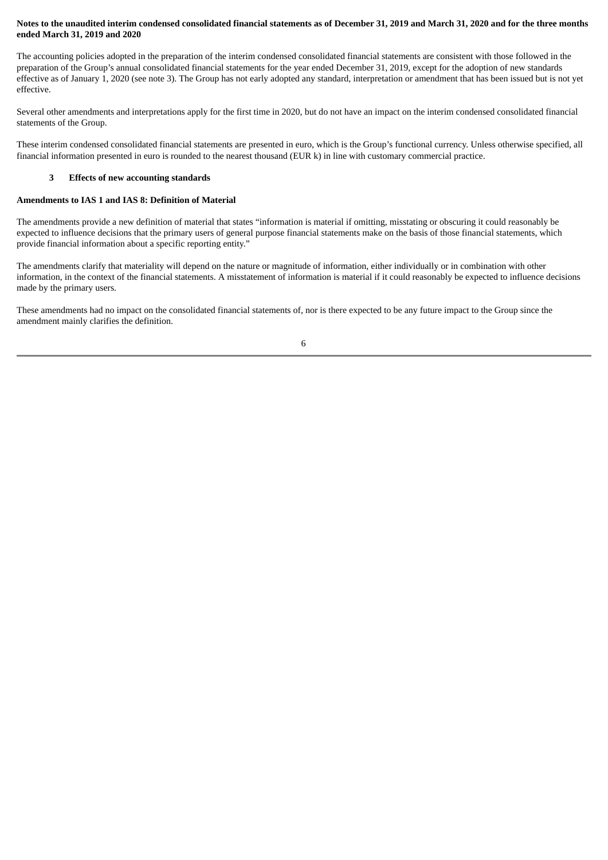The accounting policies adopted in the preparation of the interim condensed consolidated financial statements are consistent with those followed in the preparation of the Group's annual consolidated financial statements for the year ended December 31, 2019, except for the adoption of new standards effective as of January 1, 2020 (see note 3). The Group has not early adopted any standard, interpretation or amendment that has been issued but is not yet effective.

Several other amendments and interpretations apply for the first time in 2020, but do not have an impact on the interim condensed consolidated financial statements of the Group.

These interim condensed consolidated financial statements are presented in euro, which is the Group's functional currency. Unless otherwise specified, all financial information presented in euro is rounded to the nearest thousand (EUR k) in line with customary commercial practice.

# **3 Effects of new accounting standards**

# **Amendments to IAS 1 and IAS 8: Definition of Material**

The amendments provide a new definition of material that states "information is material if omitting, misstating or obscuring it could reasonably be expected to influence decisions that the primary users of general purpose financial statements make on the basis of those financial statements, which provide financial information about a specific reporting entity."

The amendments clarify that materiality will depend on the nature or magnitude of information, either individually or in combination with other information, in the context of the financial statements. A misstatement of information is material if it could reasonably be expected to influence decisions made by the primary users.

These amendments had no impact on the consolidated financial statements of, nor is there expected to be any future impact to the Group since the amendment mainly clarifies the definition.

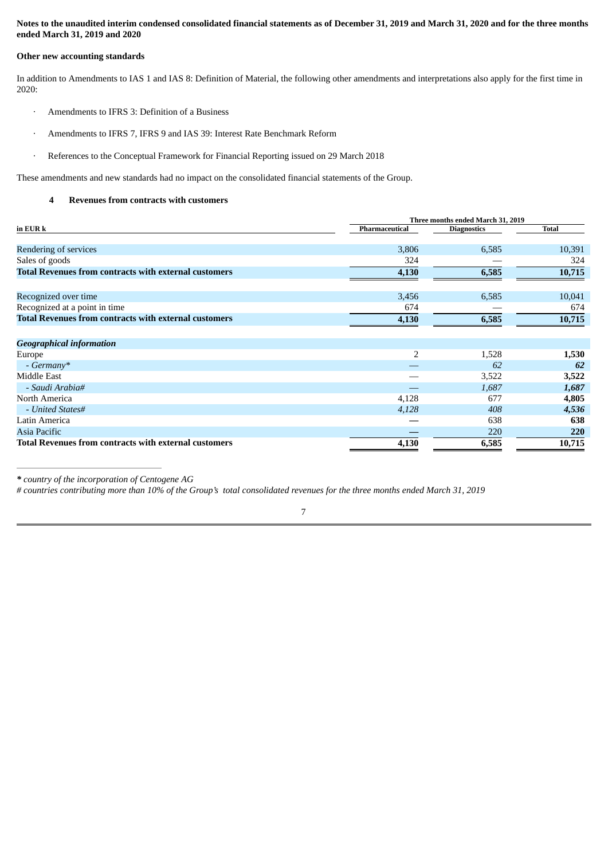# **Other new accounting standards**

In addition to Amendments to IAS 1 and IAS 8: Definition of Material, the following other amendments and interpretations also apply for the first time in 2020:

- · Amendments to IFRS 3: Definition of a Business
- · Amendments to IFRS 7, IFRS 9 and IAS 39: Interest Rate Benchmark Reform
- · References to the Conceptual Framework for Financial Reporting issued on 29 March 2018

These amendments and new standards had no impact on the consolidated financial statements of the Group.

# **4 Revenues from contracts with customers**

|                                                              |                | Three months ended March 31, 2019 |              |  |  |
|--------------------------------------------------------------|----------------|-----------------------------------|--------------|--|--|
| in EUR k                                                     | Pharmaceutical | <b>Diagnostics</b>                | <b>Total</b> |  |  |
| Rendering of services                                        | 3,806          | 6,585                             | 10,391       |  |  |
| Sales of goods                                               | 324            |                                   | 324          |  |  |
| <b>Total Revenues from contracts with external customers</b> | 4,130          | 6,585                             | 10,715       |  |  |
| Recognized over time                                         | 3,456          | 6,585                             | 10,041       |  |  |
| Recognized at a point in time                                | 674            |                                   | 674          |  |  |
| <b>Total Revenues from contracts with external customers</b> | 4,130          | 6,585                             | 10,715       |  |  |
| <b>Geographical information</b>                              |                |                                   |              |  |  |
| Europe                                                       | $\overline{2}$ | 1,528                             | 1,530        |  |  |
| - Germany*                                                   |                | 62                                | 62           |  |  |
| Middle East                                                  |                | 3,522                             | 3,522        |  |  |
| - Saudi Arabia#                                              |                | 1,687                             | 1,687        |  |  |
| North America                                                | 4,128          | 677                               | 4,805        |  |  |
| - United States#                                             | 4,128          | 408                               | 4,536        |  |  |
| Latin America                                                |                | 638                               | 638          |  |  |
| Asia Pacific                                                 |                | 220                               | <b>220</b>   |  |  |
| <b>Total Revenues from contracts with external customers</b> | 4,130          | 6,585                             | 10,715       |  |  |

*\* country of the incorporation of Centogene AG*

# countries contributing more than 10% of the Group's total consolidated revenues for the three months ended March 31, 2019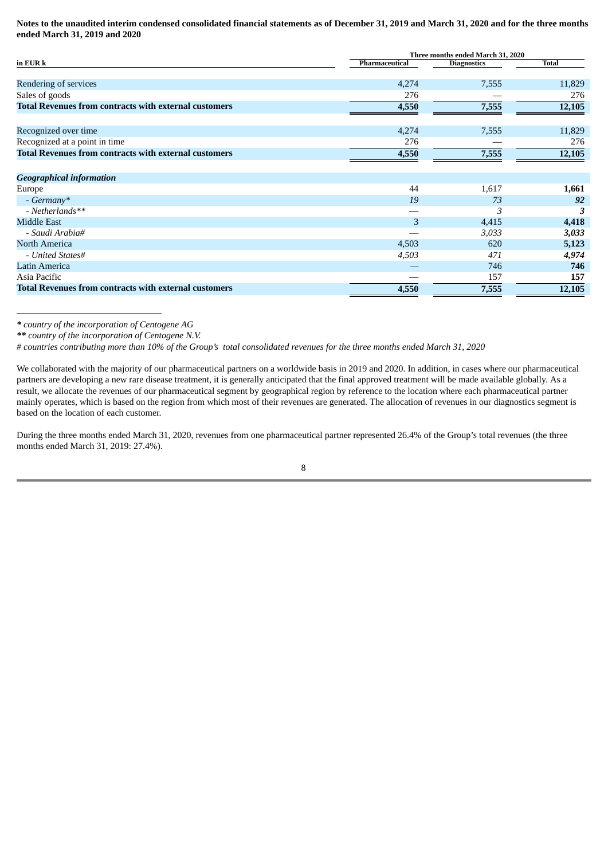|                                                              | Three months ended March 31, 2020 |                    |              |  |
|--------------------------------------------------------------|-----------------------------------|--------------------|--------------|--|
| in EUR k                                                     | Pharmaceutical                    | <b>Diagnostics</b> | <b>Total</b> |  |
|                                                              |                                   |                    |              |  |
| Rendering of services                                        | 4,274                             | 7,555              | 11,829       |  |
| Sales of goods                                               | 276                               |                    | 276          |  |
| <b>Total Revenues from contracts with external customers</b> | 4,550                             | 7,555              | 12,105       |  |
| Recognized over time                                         | 4,274                             | 7,555              | 11,829       |  |
| Recognized at a point in time                                | 276                               |                    | 276          |  |
| <b>Total Revenues from contracts with external customers</b> | 4,550                             | 7,555              | 12,105       |  |
| <b>Geographical information</b>                              |                                   |                    |              |  |
| Europe                                                       | 44                                | 1,617              | 1,661        |  |
| - Germany*                                                   | 19                                | 73                 | 92           |  |
| - Netherlands**                                              |                                   | 3                  | 3            |  |
| <b>Middle East</b>                                           | 3                                 | 4,415              | 4,418        |  |
| - Saudi Arabia#                                              |                                   | 3,033              | 3,033        |  |
| <b>North America</b>                                         | 4,503                             | 620                | 5,123        |  |
| - United States#                                             | 4,503                             | 471                | 4,974        |  |
| Latin America                                                |                                   | 746                | 746          |  |
| Asia Pacific                                                 |                                   | 157                | 157          |  |
| <b>Total Revenues from contracts with external customers</b> | 4,550                             | 7,555              | 12,105       |  |

*\* country of the incorporation of Centogene AG*

*\*\* country of the incorporation of Centogene N.V.*

# countries contributing more than 10% of the Group's total consolidated revenues for the three months ended March 31, 2020

We collaborated with the majority of our pharmaceutical partners on a worldwide basis in 2019 and 2020. In addition, in cases where our pharmaceutical partners are developing a new rare disease treatment, it is generally anticipated that the final approved treatment will be made available globally. As a result, we allocate the revenues of our pharmaceutical segment by geographical region by reference to the location where each pharmaceutical partner mainly operates, which is based on the region from which most of their revenues are generated. The allocation of revenues in our diagnostics segment is based on the location of each customer.

During the three months ended March 31, 2020, revenues from one pharmaceutical partner represented 26.4% of the Group's total revenues (the three months ended March 31, 2019: 27.4%).

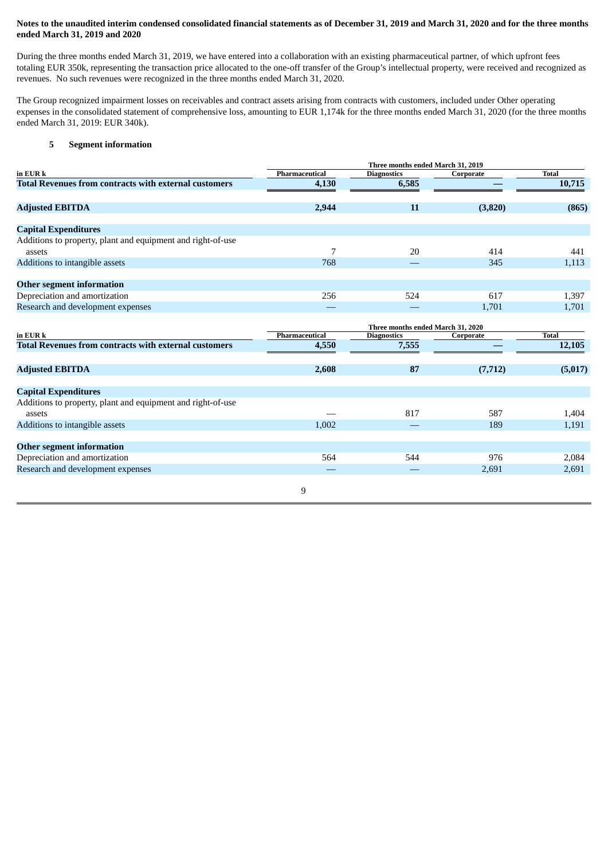During the three months ended March 31, 2019, we have entered into a collaboration with an existing pharmaceutical partner, of which upfront fees totaling EUR 350k, representing the transaction price allocated to the one-off transfer of the Group's intellectual property, were received and recognized as revenues. No such revenues were recognized in the three months ended March 31, 2020.

The Group recognized impairment losses on receivables and contract assets arising from contracts with customers, included under Other operating expenses in the consolidated statement of comprehensive loss, amounting to EUR 1,174k for the three months ended March 31, 2020 (for the three months ended March 31, 2019: EUR 340k).

# **5 Segment information**

|                                                              | Three months ended March 31, 2019 |                                   |           |              |  |
|--------------------------------------------------------------|-----------------------------------|-----------------------------------|-----------|--------------|--|
| in EUR k                                                     | Pharmaceutical                    | <b>Diagnostics</b>                | Corporate | <b>Total</b> |  |
| <b>Total Revenues from contracts with external customers</b> | 4,130                             | 6,585                             |           | 10,715       |  |
| <b>Adjusted EBITDA</b>                                       | 2,944                             | 11                                | (3,820)   | (865)        |  |
| <b>Capital Expenditures</b>                                  |                                   |                                   |           |              |  |
| Additions to property, plant and equipment and right-of-use  |                                   |                                   |           |              |  |
| assets                                                       | 7                                 | 20                                | 414       | 441          |  |
| Additions to intangible assets                               | 768                               |                                   | 345       | 1,113        |  |
| <b>Other segment information</b>                             |                                   |                                   |           |              |  |
| Depreciation and amortization                                | 256                               | 524                               | 617       | 1,397        |  |
| Research and development expenses                            |                                   |                                   | 1,701     | 1,701        |  |
|                                                              |                                   | Three months ended March 31, 2020 |           |              |  |
| in EUR k                                                     | Pharmaceutical                    | <b>Diagnostics</b>                | Corporate | <b>Total</b> |  |
| <b>Total Revenues from contracts with external customers</b> | 4,550                             | 7,555                             |           | 12,105       |  |
| <b>Adjusted EBITDA</b>                                       | 2,608                             | 87                                | (7, 712)  | (5,017)      |  |
| <b>Capital Expenditures</b>                                  |                                   |                                   |           |              |  |
| Additions to property, plant and equipment and right-of-use  |                                   |                                   |           |              |  |
| assets                                                       |                                   | 817                               | 587       | 1,404        |  |
| Additions to intangible assets                               | 1,002                             |                                   | 189       | 1,191        |  |
| <b>Other segment information</b>                             |                                   |                                   |           |              |  |
| Depreciation and amortization                                | 564                               | 544                               | 976       | 2,084        |  |
| Research and development expenses                            |                                   |                                   | 2,691     | 2,691        |  |
|                                                              | 9                                 |                                   |           |              |  |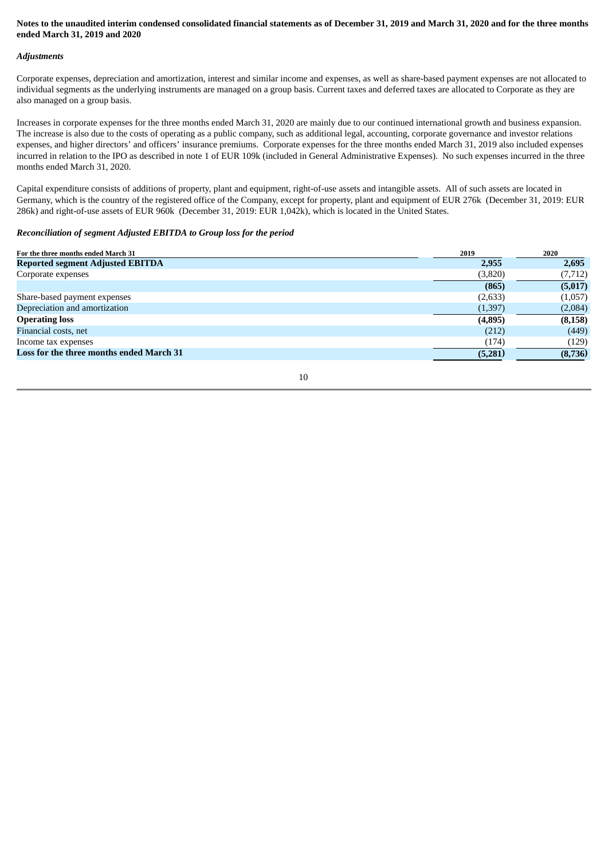# *Adjustments*

Corporate expenses, depreciation and amortization, interest and similar income and expenses, as well as share-based payment expenses are not allocated to individual segments as the underlying instruments are managed on a group basis. Current taxes and deferred taxes are allocated to Corporate as they are also managed on a group basis.

Increases in corporate expenses for the three months ended March 31, 2020 are mainly due to our continued international growth and business expansion. The increase is also due to the costs of operating as a public company, such as additional legal, accounting, corporate governance and investor relations expenses, and higher directors' and officers' insurance premiums. Corporate expenses for the three months ended March 31, 2019 also included expenses incurred in relation to the IPO as described in note 1 of EUR 109k (included in General Administrative Expenses). No such expenses incurred in the three months ended March 31, 2020.

Capital expenditure consists of additions of property, plant and equipment, right-of-use assets and intangible assets. All of such assets are located in Germany, which is the country of the registered office of the Company, except for property, plant and equipment of EUR 276k (December 31, 2019: EUR 286k) and right-of-use assets of EUR 960k (December 31, 2019: EUR 1,042k), which is located in the United States.

# *Reconciliation of segment Adjusted EBITDA to Group loss for the period*

| For the three months ended March 31      | 2019    | 2020     |
|------------------------------------------|---------|----------|
| <b>Reported segment Adjusted EBITDA</b>  | 2,955   | 2,695    |
| Corporate expenses                       | (3,820) | (7, 712) |
|                                          | (865)   | (5,017)  |
| Share-based payment expenses             | (2,633) | (1,057)  |
| Depreciation and amortization            | (1,397) | (2,084)  |
| <b>Operating loss</b>                    | (4,895) | (8, 158) |
| Financial costs, net                     | (212)   | (449)    |
| Income tax expenses                      | (174)   | (129)    |
| Loss for the three months ended March 31 | (5,281) | (8,736)  |
|                                          |         |          |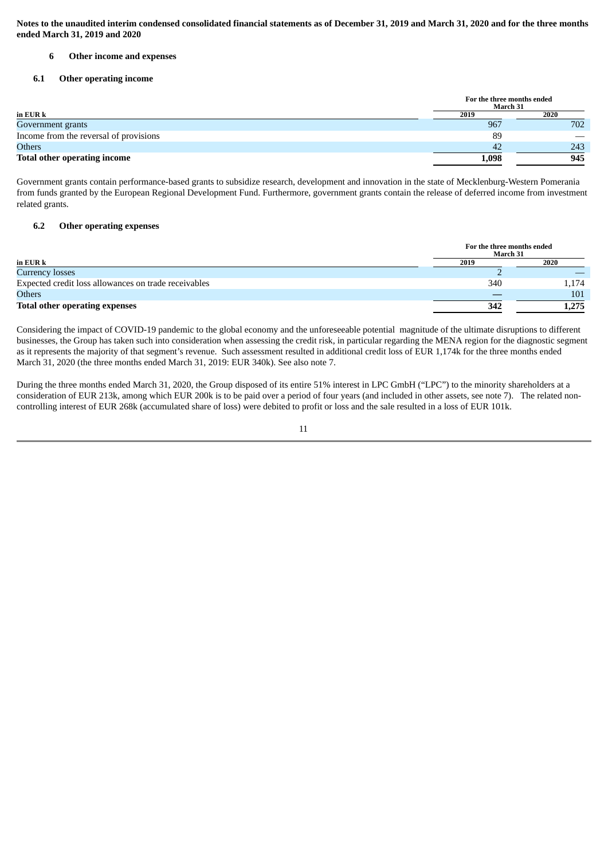#### **6 Other income and expenses**

#### **6.1 Other operating income**

|                                        | For the three months ended<br>March 31 |      |  |
|----------------------------------------|----------------------------------------|------|--|
| in EUR k                               | 2019                                   | 2020 |  |
| Government grants                      | 967                                    | 702  |  |
| Income from the reversal of provisions | 89                                     |      |  |
| <b>Others</b>                          | 42                                     | 243  |  |
| <b>Total other operating income</b>    | 1,098                                  | 945  |  |

Government grants contain performance-based grants to subsidize research, development and innovation in the state of Mecklenburg-Western Pomerania from funds granted by the European Regional Development Fund. Furthermore, government grants contain the release of deferred income from investment related grants.

#### **6.2 Other operating expenses**

|                                                      |      | For the three months ended<br>March 31 |  |  |
|------------------------------------------------------|------|----------------------------------------|--|--|
| in EUR k                                             | 2019 | 2020                                   |  |  |
| <b>Currency losses</b>                               |      |                                        |  |  |
| Expected credit loss allowances on trade receivables | 340  | 1.174                                  |  |  |
| <b>Others</b>                                        |      | 101                                    |  |  |
| <b>Total other operating expenses</b>                | 342  | 1,275                                  |  |  |

Considering the impact of COVID-19 pandemic to the global economy and the unforeseeable potential magnitude of the ultimate disruptions to different businesses, the Group has taken such into consideration when assessing the credit risk, in particular regarding the MENA region for the diagnostic segment as it represents the majority of that segment's revenue. Such assessment resulted in additional credit loss of EUR 1,174k for the three months ended March 31, 2020 (the three months ended March 31, 2019: EUR 340k). See also note 7.

During the three months ended March 31, 2020, the Group disposed of its entire 51% interest in LPC GmbH ("LPC") to the minority shareholders at a consideration of EUR 213k, among which EUR 200k is to be paid over a period of four years (and included in other assets, see note 7). The related noncontrolling interest of EUR 268k (accumulated share of loss) were debited to profit or loss and the sale resulted in a loss of EUR 101k.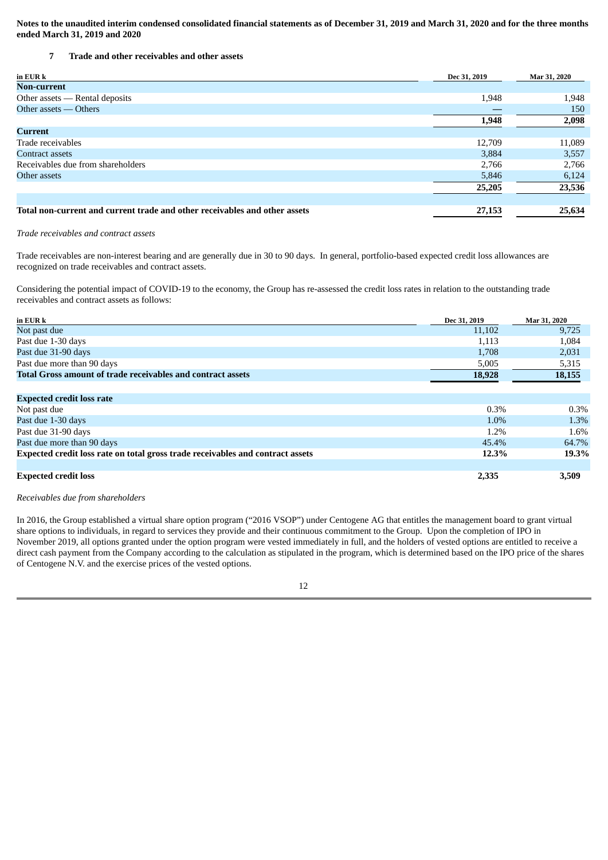# **7 Trade and other receivables and other assets**

| in EUR k                                                                   | Dec 31, 2019 | Mar 31, 2020 |
|----------------------------------------------------------------------------|--------------|--------------|
| <b>Non-current</b>                                                         |              |              |
| Other assets — Rental deposits                                             | 1,948        | 1,948        |
| Other assets — Others                                                      |              | 150          |
|                                                                            | 1,948        | 2,098        |
| <b>Current</b>                                                             |              |              |
| Trade receivables                                                          | 12.709       | 11,089       |
| Contract assets                                                            | 3,884        | 3,557        |
| Receivables due from shareholders                                          | 2,766        | 2,766        |
| Other assets                                                               | 5,846        | 6,124        |
|                                                                            | 25,205       | 23,536       |
|                                                                            |              |              |
| Total non-current and current trade and other receivables and other assets | 27,153       | 25,634       |

# *Trade receivables and contract assets*

Trade receivables are non-interest bearing and are generally due in 30 to 90 days. In general, portfolio-based expected credit loss allowances are recognized on trade receivables and contract assets.

Considering the potential impact of COVID-19 to the economy, the Group has re-assessed the credit loss rates in relation to the outstanding trade receivables and contract assets as follows:

| in EUR k                                                    | Dec 31, 2019 | Mar 31, 2020 |
|-------------------------------------------------------------|--------------|--------------|
| Not past due                                                | 11,102       | 9,725        |
| Past due 1-30 days                                          | 1,113        | 1,084        |
| Past due 31-90 days                                         | 1,708        | 2,031        |
| Past due more than 90 days                                  | 5,005        | 5,315        |
| Total Gross amount of trade receivables and contract assets | 18,928       | 18,155       |
|                                                             |              |              |
| <b>Expected credit loss rate</b>                            |              |              |
| $NT - t - t - t - 1$                                        | 0.201        | 0.201        |

| <b>Expected credit loss</b>                                                    | 2,335 | 3.509   |
|--------------------------------------------------------------------------------|-------|---------|
|                                                                                |       |         |
| Expected credit loss rate on total gross trade receivables and contract assets | 12.3% | 19.3%   |
| Past due more than 90 days                                                     | 45.4% | 64.7%   |
| Past due 31-90 days                                                            | 1.2%  | 1.6%    |
| Past due 1-30 days                                                             | 1.0%  | 1.3%    |
| Not past due                                                                   | 0.3%  | $0.3\%$ |

# *Receivables due from shareholders*

In 2016, the Group established a virtual share option program ("2016 VSOP") under Centogene AG that entitles the management board to grant virtual share options to individuals, in regard to services they provide and their continuous commitment to the Group. Upon the completion of IPO in November 2019, all options granted under the option program were vested immediately in full, and the holders of vested options are entitled to receive a direct cash payment from the Company according to the calculation as stipulated in the program, which is determined based on the IPO price of the shares of Centogene N.V. and the exercise prices of the vested options.

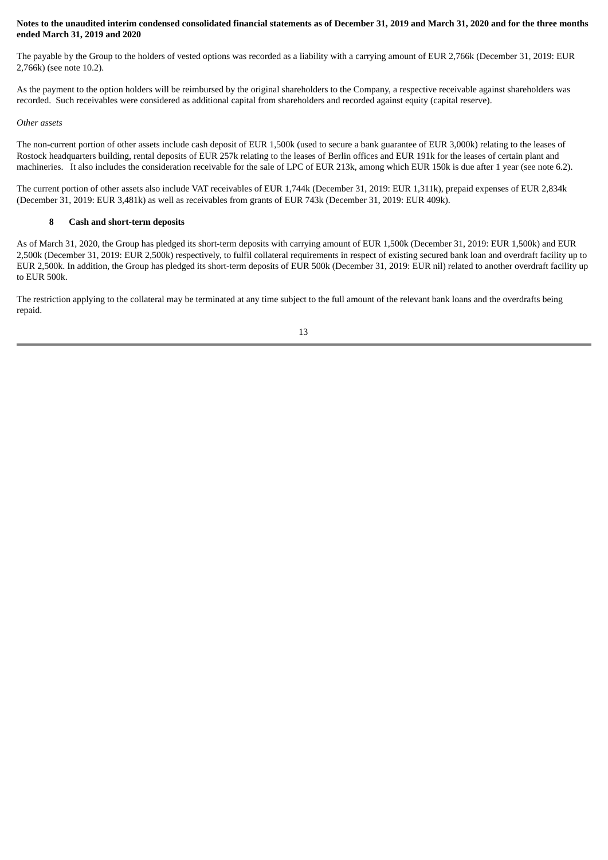The payable by the Group to the holders of vested options was recorded as a liability with a carrying amount of EUR 2,766k (December 31, 2019: EUR 2,766k) (see note 10.2).

As the payment to the option holders will be reimbursed by the original shareholders to the Company, a respective receivable against shareholders was recorded. Such receivables were considered as additional capital from shareholders and recorded against equity (capital reserve).

## *Other assets*

The non-current portion of other assets include cash deposit of EUR 1,500k (used to secure a bank guarantee of EUR 3,000k) relating to the leases of Rostock headquarters building, rental deposits of EUR 257k relating to the leases of Berlin offices and EUR 191k for the leases of certain plant and machineries. It also includes the consideration receivable for the sale of LPC of EUR 213k, among which EUR 150k is due after 1 year (see note 6.2).

The current portion of other assets also include VAT receivables of EUR 1,744k (December 31, 2019: EUR 1,311k), prepaid expenses of EUR 2,834k (December 31, 2019: EUR 3,481k) as well as receivables from grants of EUR 743k (December 31, 2019: EUR 409k).

# **8 Cash and short-term deposits**

As of March 31, 2020, the Group has pledged its short-term deposits with carrying amount of EUR 1,500k (December 31, 2019: EUR 1,500k) and EUR 2,500k (December 31, 2019: EUR 2,500k) respectively, to fulfil collateral requirements in respect of existing secured bank loan and overdraft facility up to EUR 2,500k. In addition, the Group has pledged its short-term deposits of EUR 500k (December 31, 2019: EUR nil) related to another overdraft facility up to EUR 500k.

The restriction applying to the collateral may be terminated at any time subject to the full amount of the relevant bank loans and the overdrafts being repaid.

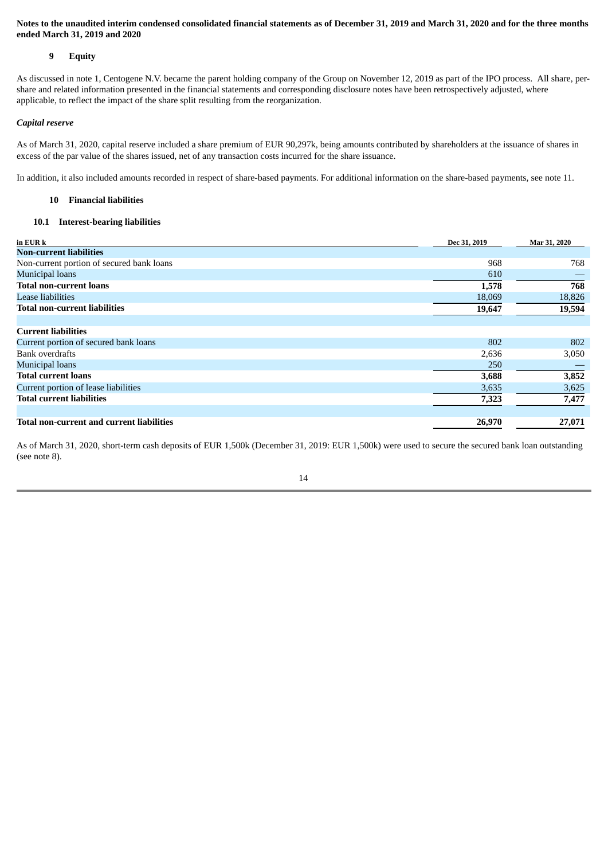# **9 Equity**

As discussed in note 1, Centogene N.V. became the parent holding company of the Group on November 12, 2019 as part of the IPO process. All share, pershare and related information presented in the financial statements and corresponding disclosure notes have been retrospectively adjusted, where applicable, to reflect the impact of the share split resulting from the reorganization.

# *Capital reserve*

As of March 31, 2020, capital reserve included a share premium of EUR 90,297k, being amounts contributed by shareholders at the issuance of shares in excess of the par value of the shares issued, net of any transaction costs incurred for the share issuance.

In addition, it also included amounts recorded in respect of share-based payments. For additional information on the share-based payments, see note 11.

# **10 Financial liabilities**

# **10.1 Interest-bearing liabilities**

| in EUR k                                         | Dec 31, 2019 | Mar 31, 2020 |
|--------------------------------------------------|--------------|--------------|
| <b>Non-current liabilities</b>                   |              |              |
| Non-current portion of secured bank loans        | 968          | 768          |
| Municipal loans                                  | 610          |              |
| <b>Total non-current loans</b>                   | 1,578        | 768          |
| <b>Lease liabilities</b>                         | 18,069       | 18,826       |
| <b>Total non-current liabilities</b>             | 19,647       | 19,594       |
|                                                  |              |              |
| <b>Current liabilities</b>                       |              |              |
| Current portion of secured bank loans            | 802          | 802          |
| <b>Bank overdrafts</b>                           | 2,636        | 3,050        |
| Municipal loans                                  | 250          |              |
| <b>Total current loans</b>                       | 3,688        | 3,852        |
| Current portion of lease liabilities             | 3,635        | 3,625        |
| <b>Total current liabilities</b>                 | 7,323        | 7,477        |
|                                                  |              |              |
| <b>Total non-current and current liabilities</b> | 26,970       | 27,071       |

As of March 31, 2020, short-term cash deposits of EUR 1,500k (December 31, 2019: EUR 1,500k) were used to secure the secured bank loan outstanding (see note 8).

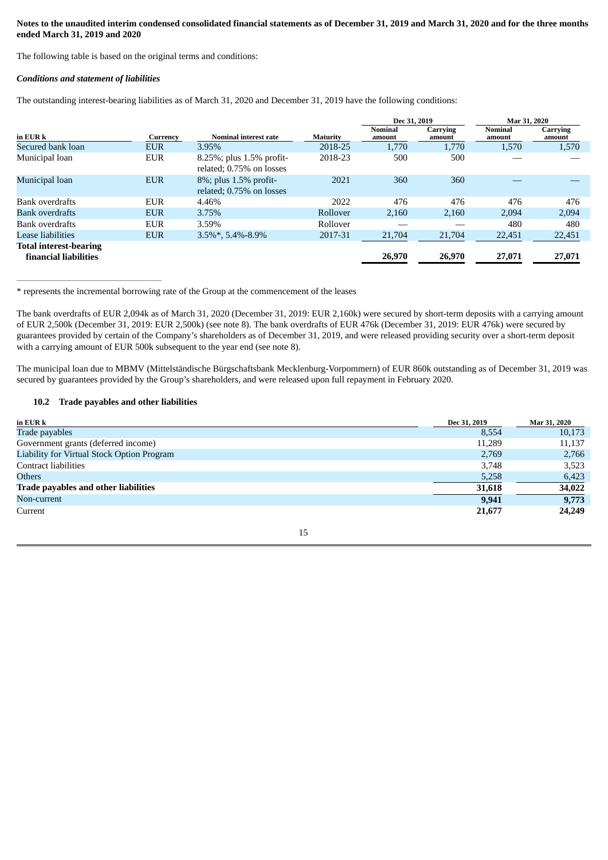The following table is based on the original terms and conditions:

# *Conditions and statement of liabilities*

The outstanding interest-bearing liabilities as of March 31, 2020 and December 31, 2019 have the following conditions:

|                                                        |            |                                                       |                 | Dec 31, 2019             |                    | Mar 31, 2020             |                    |
|--------------------------------------------------------|------------|-------------------------------------------------------|-----------------|--------------------------|--------------------|--------------------------|--------------------|
| in EUR k                                               | Currency   | <b>Nominal interest rate</b>                          | <b>Maturity</b> | <b>Nominal</b><br>amount | Carrying<br>amount | <b>Nominal</b><br>amount | Carrying<br>amount |
| Secured bank loan                                      | <b>EUR</b> | 3.95%                                                 | 2018-25         | 1.770                    | 1,770              | 1,570                    | 1,570              |
| Municipal loan                                         | <b>EUR</b> | 8.25%; plus 1.5% profit-<br>related; 0.75% on losses  | 2018-23         | 500                      | 500                |                          |                    |
| Municipal loan                                         | <b>EUR</b> | $8\%$ ; plus 1.5% profit-<br>related; 0.75% on losses | 2021            | 360                      | 360                |                          |                    |
| <b>Bank overdrafts</b>                                 | <b>EUR</b> | 4.46%                                                 | 2022            | 476                      | 476                | 476                      | 476                |
| <b>Bank overdrafts</b>                                 | <b>EUR</b> | 3.75%                                                 | Rollover        | 2.160                    | 2,160              | 2.094                    | 2,094              |
| <b>Bank overdrafts</b>                                 | <b>EUR</b> | 3.59%                                                 | Rollover        |                          |                    | 480                      | 480                |
| Lease liabilities                                      | <b>EUR</b> | $3.5\%$ *, 5.4%-8.9%                                  | 2017-31         | 21,704                   | 21,704             | 22,451                   | 22,451             |
| <b>Total interest-bearing</b><br>financial liabilities |            |                                                       |                 | 26,970                   | 26,970             | 27,071                   | 27,071             |

\* represents the incremental borrowing rate of the Group at the commencement of the leases

The bank overdrafts of EUR 2,094k as of March 31, 2020 (December 31, 2019: EUR 2,160k) were secured by short-term deposits with a carrying amount of EUR 2,500k (December 31, 2019: EUR 2,500k) (see note 8). The bank overdrafts of EUR 476k (December 31, 2019: EUR 476k) were secured by guarantees provided by certain of the Company's shareholders as of December 31, 2019, and were released providing security over a short-term deposit with a carrying amount of EUR 500k subsequent to the year end (see note 8).

The municipal loan due to MBMV (Mittelständische Bürgschaftsbank Mecklenburg-Vorpommern) of EUR 860k outstanding as of December 31, 2019 was secured by guarantees provided by the Group's shareholders, and were released upon full repayment in February 2020.

# **10.2 Trade payables and other liabilities**

| in EUR k                                   | Dec 31, 2019 | Mar 31, 2020 |
|--------------------------------------------|--------------|--------------|
| Trade payables                             | 8,554        | 10,173       |
| Government grants (deferred income)        | 11,289       | 11,137       |
| Liability for Virtual Stock Option Program | 2,769        | 2,766        |
| Contract liabilities                       | 3,748        | 3,523        |
| Others                                     | 5,258        | 6,423        |
| Trade payables and other liabilities       | 31,618       | 34,022       |
| Non-current                                | 9.941        | 9,773        |
| Current                                    | 21,677       | 24,249       |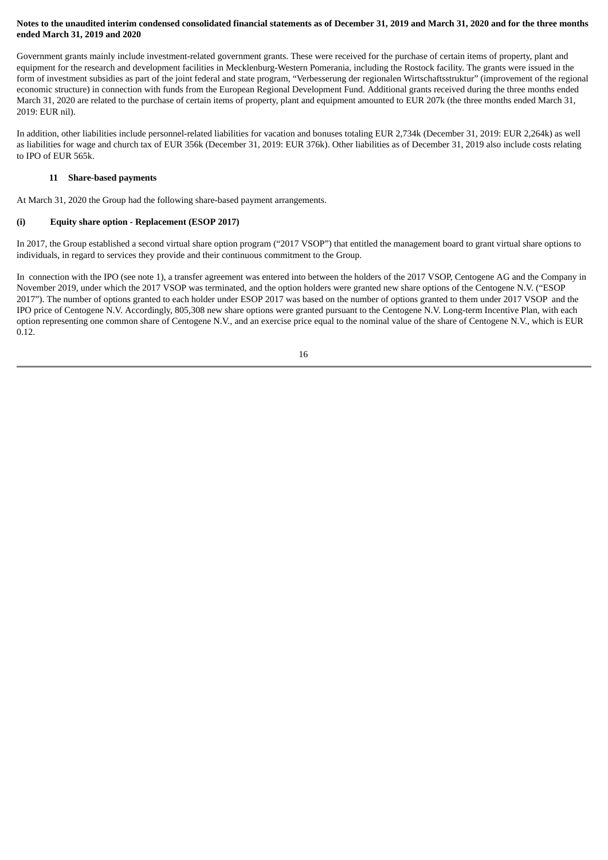Government grants mainly include investment-related government grants. These were received for the purchase of certain items of property, plant and equipment for the research and development facilities in Mecklenburg-Western Pomerania, including the Rostock facility. The grants were issued in the form of investment subsidies as part of the joint federal and state program, "Verbesserung der regionalen Wirtschaftsstruktur" (improvement of the regional economic structure) in connection with funds from the European Regional Development Fund. Additional grants received during the three months ended March 31, 2020 are related to the purchase of certain items of property, plant and equipment amounted to EUR 207k (the three months ended March 31, 2019: EUR nil).

In addition, other liabilities include personnel-related liabilities for vacation and bonuses totaling EUR 2,734k (December 31, 2019: EUR 2,264k) as well as liabilities for wage and church tax of EUR 356k (December 31, 2019: EUR 376k). Other liabilities as of December 31, 2019 also include costs relating to IPO of EUR 565k.

# **11 Share-based payments**

At March 31, 2020 the Group had the following share-based payment arrangements.

# **(i) Equity share option - Replacement (ESOP 2017)**

In 2017, the Group established a second virtual share option program ("2017 VSOP") that entitled the management board to grant virtual share options to individuals, in regard to services they provide and their continuous commitment to the Group.

In connection with the IPO (see note 1), a transfer agreement was entered into between the holders of the 2017 VSOP, Centogene AG and the Company in November 2019, under which the 2017 VSOP was terminated, and the option holders were granted new share options of the Centogene N.V. ("ESOP 2017"). The number of options granted to each holder under ESOP 2017 was based on the number of options granted to them under 2017 VSOP and the IPO price of Centogene N.V. Accordingly, 805,308 new share options were granted pursuant to the Centogene N.V. Long-term Incentive Plan, with each option representing one common share of Centogene N.V., and an exercise price equal to the nominal value of the share of Centogene N.V., which is EUR 0.12.

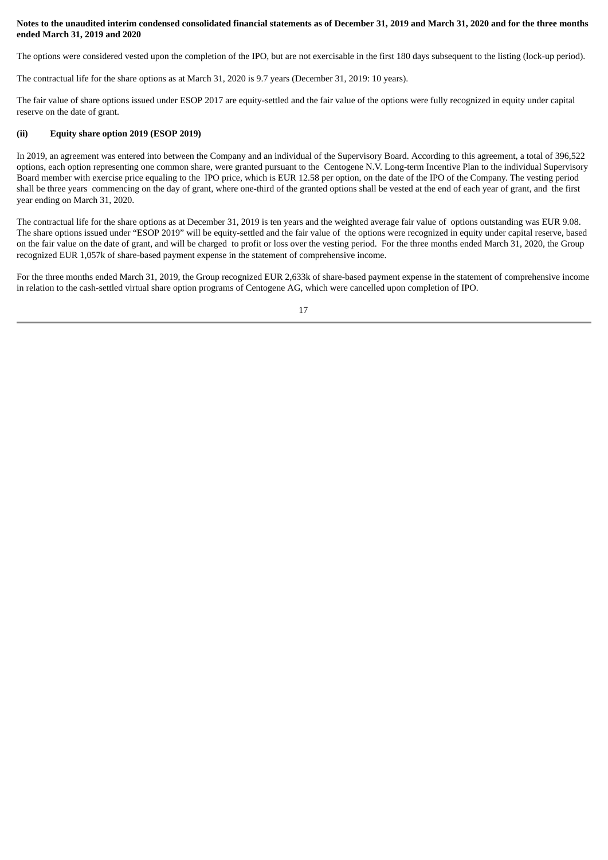The options were considered vested upon the completion of the IPO, but are not exercisable in the first 180 days subsequent to the listing (lock-up period).

The contractual life for the share options as at March 31, 2020 is 9.7 years (December 31, 2019: 10 years).

The fair value of share options issued under ESOP 2017 are equity-settled and the fair value of the options were fully recognized in equity under capital reserve on the date of grant.

# **(ii) Equity share option 2019 (ESOP 2019)**

In 2019, an agreement was entered into between the Company and an individual of the Supervisory Board. According to this agreement, a total of 396,522 options, each option representing one common share, were granted pursuant to the Centogene N.V. Long-term Incentive Plan to the individual Supervisory Board member with exercise price equaling to the IPO price, which is EUR 12.58 per option, on the date of the IPO of the Company. The vesting period shall be three years commencing on the day of grant, where one-third of the granted options shall be vested at the end of each year of grant, and the first year ending on March 31, 2020.

The contractual life for the share options as at December 31, 2019 is ten years and the weighted average fair value of options outstanding was EUR 9.08. The share options issued under "ESOP 2019" will be equity-settled and the fair value of the options were recognized in equity under capital reserve, based on the fair value on the date of grant, and will be charged to profit or loss over the vesting period. For the three months ended March 31, 2020, the Group recognized EUR 1,057k of share-based payment expense in the statement of comprehensive income.

For the three months ended March 31, 2019, the Group recognized EUR 2,633k of share-based payment expense in the statement of comprehensive income in relation to the cash-settled virtual share option programs of Centogene AG, which were cancelled upon completion of IPO.

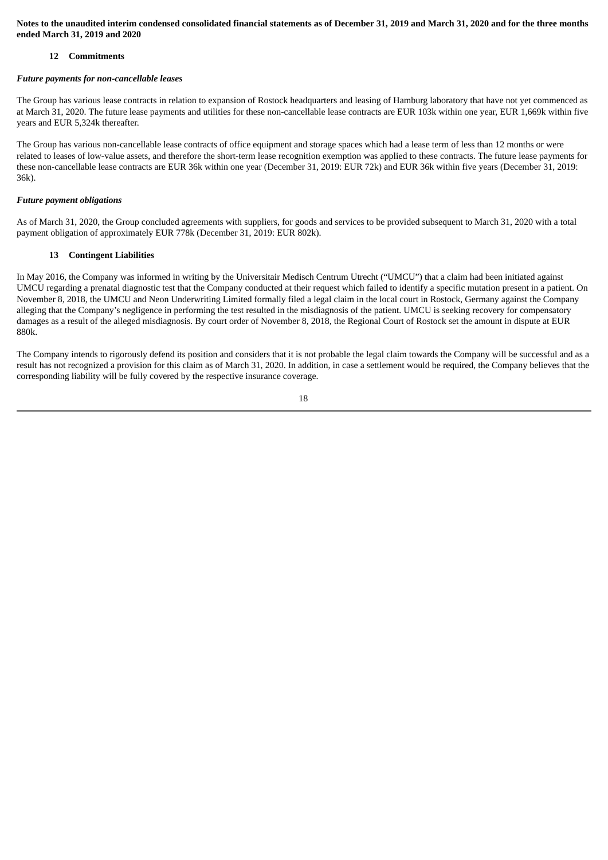# **12 Commitments**

#### *Future payments for non-cancellable leases*

The Group has various lease contracts in relation to expansion of Rostock headquarters and leasing of Hamburg laboratory that have not yet commenced as at March 31, 2020. The future lease payments and utilities for these non-cancellable lease contracts are EUR 103k within one year, EUR 1,669k within five years and EUR 5,324k thereafter.

The Group has various non-cancellable lease contracts of office equipment and storage spaces which had a lease term of less than 12 months or were related to leases of low-value assets, and therefore the short-term lease recognition exemption was applied to these contracts. The future lease payments for these non-cancellable lease contracts are EUR 36k within one year (December 31, 2019: EUR 72k) and EUR 36k within five years (December 31, 2019: 36k).

## *Future payment obligations*

As of March 31, 2020, the Group concluded agreements with suppliers, for goods and services to be provided subsequent to March 31, 2020 with a total payment obligation of approximately EUR 778k (December 31, 2019: EUR 802k).

# **13 Contingent Liabilities**

In May 2016, the Company was informed in writing by the Universitair Medisch Centrum Utrecht ("UMCU") that a claim had been initiated against UMCU regarding a prenatal diagnostic test that the Company conducted at their request which failed to identify a specific mutation present in a patient. On November 8, 2018, the UMCU and Neon Underwriting Limited formally filed a legal claim in the local court in Rostock, Germany against the Company alleging that the Company's negligence in performing the test resulted in the misdiagnosis of the patient. UMCU is seeking recovery for compensatory damages as a result of the alleged misdiagnosis. By court order of November 8, 2018, the Regional Court of Rostock set the amount in dispute at EUR 880k.

The Company intends to rigorously defend its position and considers that it is not probable the legal claim towards the Company will be successful and as a result has not recognized a provision for this claim as of March 31, 2020. In addition, in case a settlement would be required, the Company believes that the corresponding liability will be fully covered by the respective insurance coverage.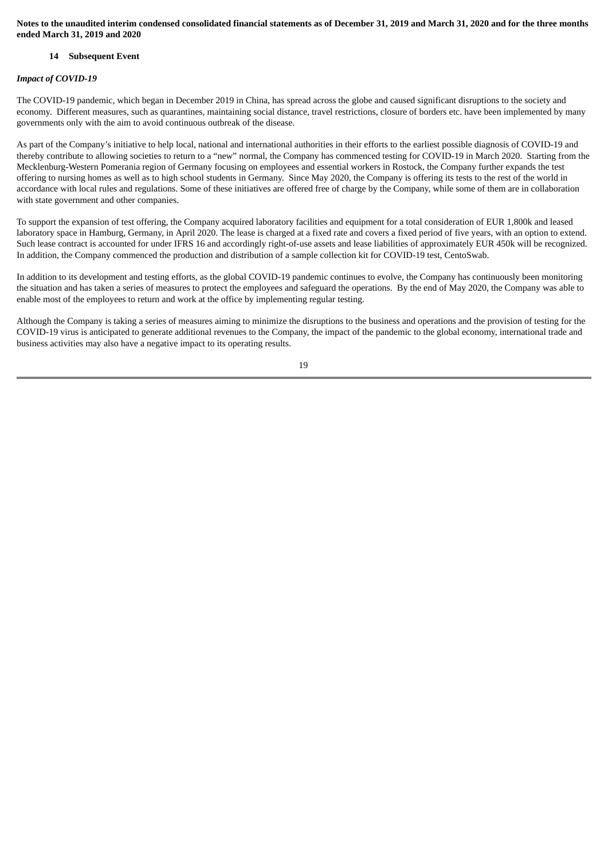# **14 Subsequent Event**

# *Impact of COVID-19*

The COVID-19 pandemic, which began in December 2019 in China, has spread across the globe and caused significant disruptions to the society and economy. Different measures, such as quarantines, maintaining social distance, travel restrictions, closure of borders etc. have been implemented by many governments only with the aim to avoid continuous outbreak of the disease.

As part of the Company's initiative to help local, national and international authorities in their efforts to the earliest possible diagnosis of COVID-19 and thereby contribute to allowing societies to return to a "new" normal, the Company has commenced testing for COVID-19 in March 2020. Starting from the Mecklenburg-Western Pomerania region of Germany focusing on employees and essential workers in Rostock, the Company further expands the test offering to nursing homes as well as to high school students in Germany. Since May 2020, the Company is offering its tests to the rest of the world in accordance with local rules and regulations. Some of these initiatives are offered free of charge by the Company, while some of them are in collaboration with state government and other companies.

To support the expansion of test offering, the Company acquired laboratory facilities and equipment for a total consideration of EUR 1,800k and leased laboratory space in Hamburg, Germany, in April 2020. The lease is charged at a fixed rate and covers a fixed period of five years, with an option to extend. Such lease contract is accounted for under IFRS 16 and accordingly right-of-use assets and lease liabilities of approximately EUR 450k will be recognized. In addition, the Company commenced the production and distribution of a sample collection kit for COVID-19 test, CentoSwab.

In addition to its development and testing efforts, as the global COVID-19 pandemic continues to evolve, the Company has continuously been monitoring the situation and has taken a series of measures to protect the employees and safeguard the operations. By the end of May 2020, the Company was able to enable most of the employees to return and work at the office by implementing regular testing.

Although the Company is taking a series of measures aiming to minimize the disruptions to the business and operations and the provision of testing for the COVID-19 virus is anticipated to generate additional revenues to the Company, the impact of the pandemic to the global economy, international trade and business activities may also have a negative impact to its operating results.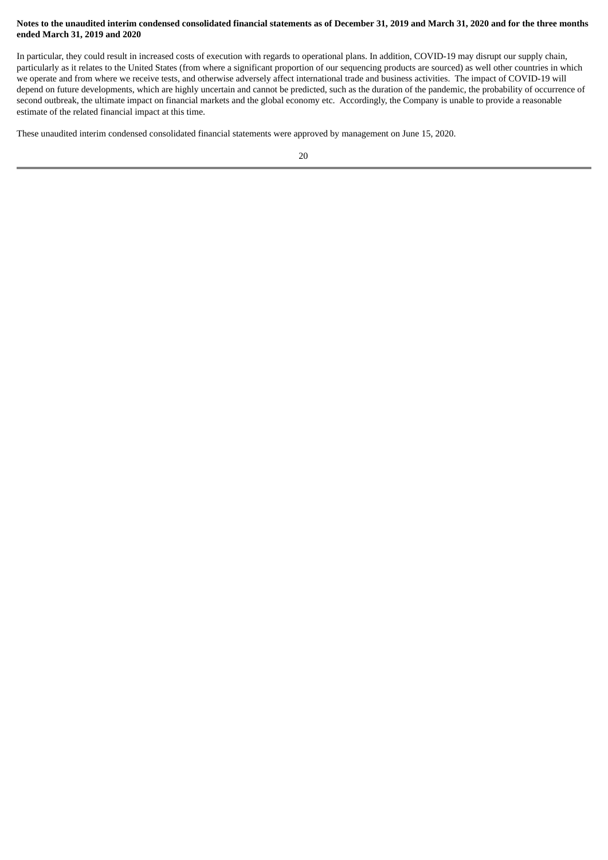In particular, they could result in increased costs of execution with regards to operational plans. In addition, COVID-19 may disrupt our supply chain, particularly as it relates to the United States (from where a significant proportion of our sequencing products are sourced) as well other countries in which we operate and from where we receive tests, and otherwise adversely affect international trade and business activities. The impact of COVID-19 will depend on future developments, which are highly uncertain and cannot be predicted, such as the duration of the pandemic, the probability of occurrence of second outbreak, the ultimate impact on financial markets and the global economy etc. Accordingly, the Company is unable to provide a reasonable estimate of the related financial impact at this time.

These unaudited interim condensed consolidated financial statements were approved by management on June 15, 2020.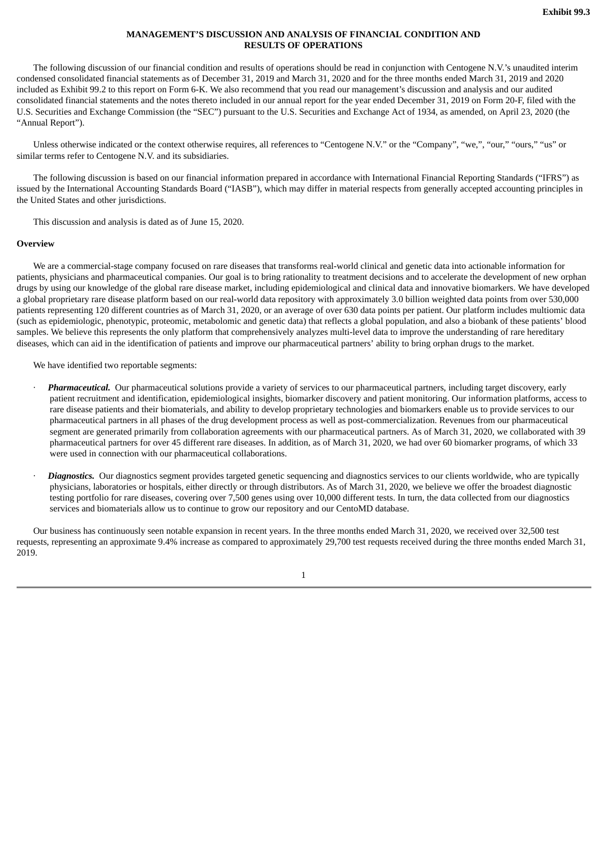# **MANAGEMENT'S DISCUSSION AND ANALYSIS OF FINANCIAL CONDITION AND RESULTS OF OPERATIONS**

The following discussion of our financial condition and results of operations should be read in conjunction with Centogene N.V.'s unaudited interim condensed consolidated financial statements as of December 31, 2019 and March 31, 2020 and for the three months ended March 31, 2019 and 2020 included as Exhibit 99.2 to this report on Form 6-K. We also recommend that you read our management's discussion and analysis and our audited consolidated financial statements and the notes thereto included in our annual report for the year ended December 31, 2019 on Form 20-F, filed with the U.S. Securities and Exchange Commission (the "SEC") pursuant to the U.S. Securities and Exchange Act of 1934, as amended, on April 23, 2020 (the "Annual Report").

Unless otherwise indicated or the context otherwise requires, all references to "Centogene N.V." or the "Company", "we,", "our," "ours," "us" or similar terms refer to Centogene N.V. and its subsidiaries.

The following discussion is based on our financial information prepared in accordance with International Financial Reporting Standards ("IFRS") as issued by the International Accounting Standards Board ("IASB"), which may differ in material respects from generally accepted accounting principles in the United States and other jurisdictions.

This discussion and analysis is dated as of June 15, 2020.

#### **Overview**

We are a commercial-stage company focused on rare diseases that transforms real-world clinical and genetic data into actionable information for patients, physicians and pharmaceutical companies. Our goal is to bring rationality to treatment decisions and to accelerate the development of new orphan drugs by using our knowledge of the global rare disease market, including epidemiological and clinical data and innovative biomarkers. We have developed a global proprietary rare disease platform based on our real-world data repository with approximately 3.0 billion weighted data points from over 530,000 patients representing 120 different countries as of March 31, 2020, or an average of over 630 data points per patient. Our platform includes multiomic data (such as epidemiologic, phenotypic, proteomic, metabolomic and genetic data) that reflects a global population, and also a biobank of these patients' blood samples. We believe this represents the only platform that comprehensively analyzes multi-level data to improve the understanding of rare hereditary diseases, which can aid in the identification of patients and improve our pharmaceutical partners' ability to bring orphan drugs to the market.

We have identified two reportable segments:

- · *Pharmaceutical.* Our pharmaceutical solutions provide a variety of services to our pharmaceutical partners, including target discovery, early patient recruitment and identification, epidemiological insights, biomarker discovery and patient monitoring. Our information platforms, access to rare disease patients and their biomaterials, and ability to develop proprietary technologies and biomarkers enable us to provide services to our pharmaceutical partners in all phases of the drug development process as well as post-commercialization. Revenues from our pharmaceutical segment are generated primarily from collaboration agreements with our pharmaceutical partners. As of March 31, 2020, we collaborated with 39 pharmaceutical partners for over 45 different rare diseases. In addition, as of March 31, 2020, we had over 60 biomarker programs, of which 33 were used in connection with our pharmaceutical collaborations.
- · *Diagnostics.* Our diagnostics segment provides targeted genetic sequencing and diagnostics services to our clients worldwide, who are typically physicians, laboratories or hospitals, either directly or through distributors. As of March 31, 2020, we believe we offer the broadest diagnostic testing portfolio for rare diseases, covering over 7,500 genes using over 10,000 different tests. In turn, the data collected from our diagnostics services and biomaterials allow us to continue to grow our repository and our CentoMD database.

Our business has continuously seen notable expansion in recent years. In the three months ended March 31, 2020, we received over 32,500 test requests, representing an approximate 9.4% increase as compared to approximately 29,700 test requests received during the three months ended March 31, 2019.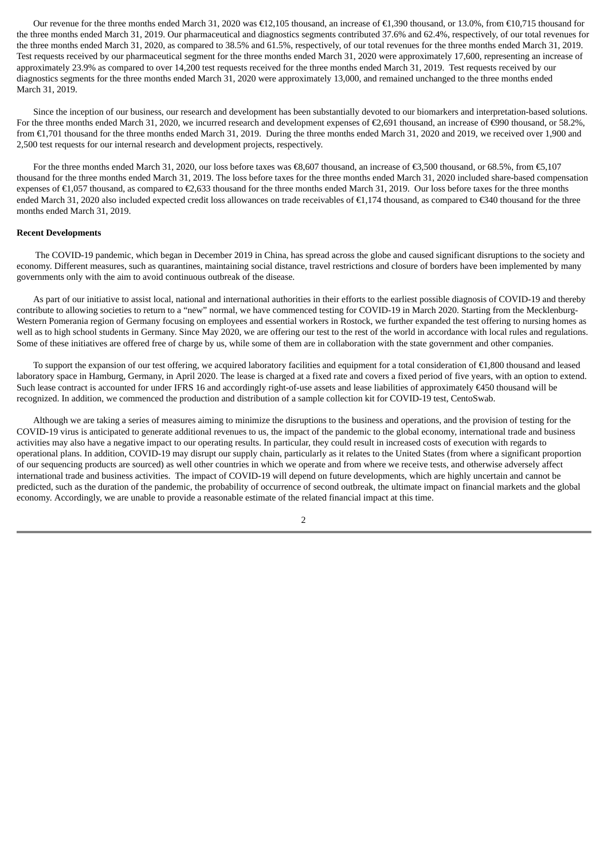Our revenue for the three months ended March 31, 2020 was €12,105 thousand, an increase of €1,390 thousand, or 13.0%, from €10,715 thousand for the three months ended March 31, 2019. Our pharmaceutical and diagnostics segments contributed 37.6% and 62.4%, respectively, of our total revenues for the three months ended March 31, 2020, as compared to 38.5% and 61.5%, respectively, of our total revenues for the three months ended March 31, 2019. Test requests received by our pharmaceutical segment for the three months ended March 31, 2020 were approximately 17,600, representing an increase of approximately 23.9% as compared to over 14,200 test requests received for the three months ended March 31, 2019. Test requests received by our diagnostics segments for the three months ended March 31, 2020 were approximately 13,000, and remained unchanged to the three months ended March 31, 2019.

Since the inception of our business, our research and development has been substantially devoted to our biomarkers and interpretation-based solutions. For the three months ended March 31, 2020, we incurred research and development expenses of €2,691 thousand, an increase of €990 thousand, or 58.2%, from €1,701 thousand for the three months ended March 31, 2019. During the three months ended March 31, 2020 and 2019, we received over 1,900 and 2,500 test requests for our internal research and development projects, respectively.

For the three months ended March 31, 2020, our loss before taxes was €8,607 thousand, an increase of €3,500 thousand, or 68.5%, from €5,107 thousand for the three months ended March 31, 2019. The loss before taxes for the three months ended March 31, 2020 included share-based compensation expenses of  $\epsilon$ 1,057 thousand, as compared to  $\epsilon$ 2,633 thousand for the three months ended March 31, 2019. Our loss before taxes for the three months ended March 31, 2020 also included expected credit loss allowances on trade receivables of €1,174 thousand, as compared to €340 thousand for the three months ended March 31, 2019.

#### **Recent Developments**

The COVID-19 pandemic, which began in December 2019 in China, has spread across the globe and caused significant disruptions to the society and economy. Different measures, such as quarantines, maintaining social distance, travel restrictions and closure of borders have been implemented by many governments only with the aim to avoid continuous outbreak of the disease.

As part of our initiative to assist local, national and international authorities in their efforts to the earliest possible diagnosis of COVID-19 and thereby contribute to allowing societies to return to a "new" normal, we have commenced testing for COVID-19 in March 2020. Starting from the Mecklenburg-Western Pomerania region of Germany focusing on employees and essential workers in Rostock, we further expanded the test offering to nursing homes as well as to high school students in Germany. Since May 2020, we are offering our test to the rest of the world in accordance with local rules and regulations. Some of these initiatives are offered free of charge by us, while some of them are in collaboration with the state government and other companies.

To support the expansion of our test offering, we acquired laboratory facilities and equipment for a total consideration of €1,800 thousand and leased laboratory space in Hamburg, Germany, in April 2020. The lease is charged at a fixed rate and covers a fixed period of five years, with an option to extend. Such lease contract is accounted for under IFRS 16 and accordingly right-of-use assets and lease liabilities of approximately €450 thousand will be recognized. In addition, we commenced the production and distribution of a sample collection kit for COVID-19 test, CentoSwab.

Although we are taking a series of measures aiming to minimize the disruptions to the business and operations, and the provision of testing for the COVID-19 virus is anticipated to generate additional revenues to us, the impact of the pandemic to the global economy, international trade and business activities may also have a negative impact to our operating results. In particular, they could result in increased costs of execution with regards to operational plans. In addition, COVID-19 may disrupt our supply chain, particularly as it relates to the United States (from where a significant proportion of our sequencing products are sourced) as well other countries in which we operate and from where we receive tests, and otherwise adversely affect international trade and business activities. The impact of COVID-19 will depend on future developments, which are highly uncertain and cannot be predicted, such as the duration of the pandemic, the probability of occurrence of second outbreak, the ultimate impact on financial markets and the global economy. Accordingly, we are unable to provide a reasonable estimate of the related financial impact at this time.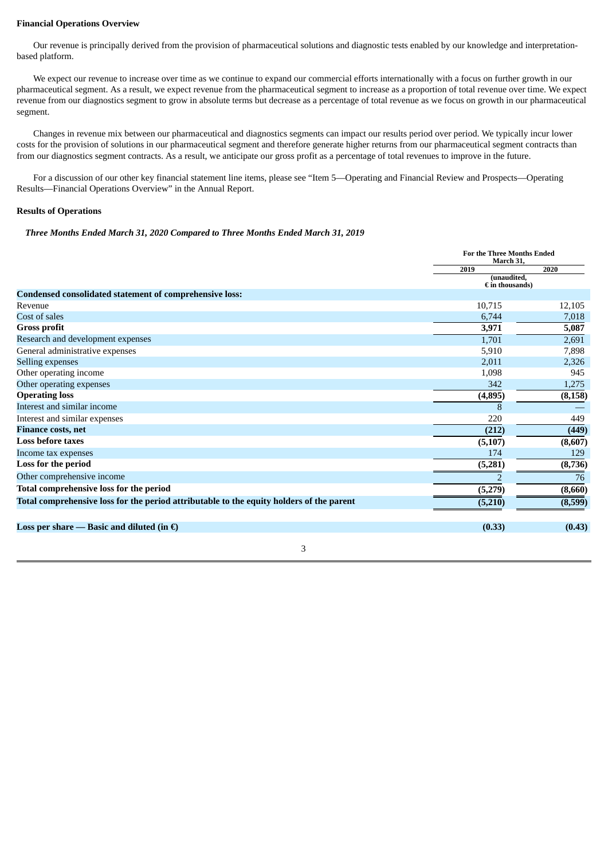# **Financial Operations Overview**

Our revenue is principally derived from the provision of pharmaceutical solutions and diagnostic tests enabled by our knowledge and interpretationbased platform.

We expect our revenue to increase over time as we continue to expand our commercial efforts internationally with a focus on further growth in our pharmaceutical segment. As a result, we expect revenue from the pharmaceutical segment to increase as a proportion of total revenue over time. We expect revenue from our diagnostics segment to grow in absolute terms but decrease as a percentage of total revenue as we focus on growth in our pharmaceutical segment.

Changes in revenue mix between our pharmaceutical and diagnostics segments can impact our results period over period. We typically incur lower costs for the provision of solutions in our pharmaceutical segment and therefore generate higher returns from our pharmaceutical segment contracts than from our diagnostics segment contracts. As a result, we anticipate our gross profit as a percentage of total revenues to improve in the future.

For a discussion of our other key financial statement line items, please see "Item 5—Operating and Financial Review and Prospects—Operating Results—Financial Operations Overview" in the Annual Report.

#### **Results of Operations**

## *Three Months Ended March 31, 2020 Compared to Three Months Ended March 31, 2019*

|                                                                                          | <b>For the Three Months Ended</b><br>March 31, |          |
|------------------------------------------------------------------------------------------|------------------------------------------------|----------|
|                                                                                          | 2019                                           | 2020     |
|                                                                                          | (unaudited,<br>$\epsilon$ in thousands)        |          |
| Condensed consolidated statement of comprehensive loss:                                  |                                                |          |
| Revenue                                                                                  | 10,715                                         | 12,105   |
| Cost of sales                                                                            | 6,744                                          | 7,018    |
| <b>Gross profit</b>                                                                      | 3,971                                          | 5,087    |
| Research and development expenses                                                        | 1,701                                          | 2,691    |
| General administrative expenses                                                          | 5,910                                          | 7,898    |
| Selling expenses                                                                         | 2,011                                          | 2,326    |
| Other operating income                                                                   | 1,098                                          | 945      |
| Other operating expenses                                                                 | 342                                            | 1,275    |
| <b>Operating loss</b>                                                                    | (4,895)                                        | (8, 158) |
| Interest and similar income                                                              | 8                                              |          |
| Interest and similar expenses                                                            | 220                                            | 449      |
| <b>Finance costs, net</b>                                                                | (212)                                          | (449)    |
| <b>Loss before taxes</b>                                                                 | (5, 107)                                       | (8,607)  |
| Income tax expenses                                                                      | 174                                            | 129      |
| Loss for the period                                                                      | (5,281)                                        | (8,736)  |
| Other comprehensive income                                                               |                                                | 76       |
| Total comprehensive loss for the period                                                  | (5,279)                                        | (8,660)  |
| Total comprehensive loss for the period attributable to the equity holders of the parent | (5,210)                                        | (8,599)  |
| Loss per share — Basic and diluted (in $\epsilon$ )                                      | (0.33)                                         | (0.43)   |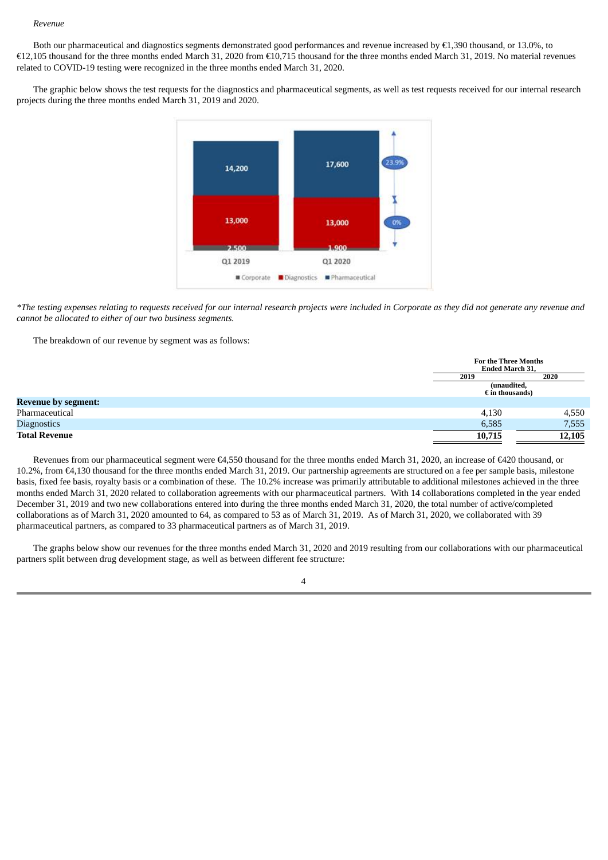#### *Revenue*

Both our pharmaceutical and diagnostics segments demonstrated good performances and revenue increased by  $\epsilon$ 1,390 thousand, or 13.0%, to €12,105 thousand for the three months ended March 31, 2020 from €10,715 thousand for the three months ended March 31, 2019. No material revenues related to COVID-19 testing were recognized in the three months ended March 31, 2020.

The graphic below shows the test requests for the diagnostics and pharmaceutical segments, as well as test requests received for our internal research projects during the three months ended March 31, 2019 and 2020.



\*The testing expenses relating to requests received for our internal research projects were included in Corporate as they did not generate any revenue and *cannot be allocated to either of our two business segments.*

The breakdown of our revenue by segment was as follows:

|                            | <b>For the Three Months</b><br><b>Ended March 31,</b> |        |
|----------------------------|-------------------------------------------------------|--------|
|                            | 2019                                                  | 2020   |
|                            | (unaudited.<br>$\epsilon$ in thousands)               |        |
| <b>Revenue by segment:</b> |                                                       |        |
| Pharmaceutical             | 4,130                                                 | 4,550  |
| <b>Diagnostics</b>         | 6,585                                                 | 7,555  |
| <b>Total Revenue</b>       | 10,715                                                | 12,105 |

Revenues from our pharmaceutical segment were €4,550 thousand for the three months ended March 31, 2020, an increase of €420 thousand, or 10.2%, from €4,130 thousand for the three months ended March 31, 2019. Our partnership agreements are structured on a fee per sample basis, milestone basis, fixed fee basis, royalty basis or a combination of these. The 10.2% increase was primarily attributable to additional milestones achieved in the three months ended March 31, 2020 related to collaboration agreements with our pharmaceutical partners. With 14 collaborations completed in the year ended December 31, 2019 and two new collaborations entered into during the three months ended March 31, 2020, the total number of active/completed collaborations as of March 31, 2020 amounted to 64, as compared to 53 as of March 31, 2019. As of March 31, 2020, we collaborated with 39 pharmaceutical partners, as compared to 33 pharmaceutical partners as of March 31, 2019.

The graphs below show our revenues for the three months ended March 31, 2020 and 2019 resulting from our collaborations with our pharmaceutical partners split between drug development stage, as well as between different fee structure: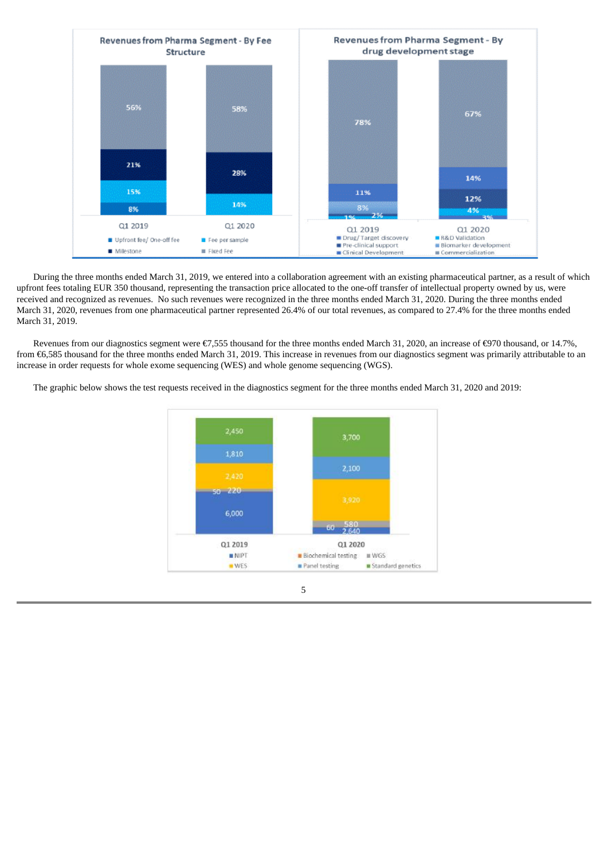

During the three months ended March 31, 2019, we entered into a collaboration agreement with an existing pharmaceutical partner, as a result of which upfront fees totaling EUR 350 thousand, representing the transaction price allocated to the one-off transfer of intellectual property owned by us, were received and recognized as revenues. No such revenues were recognized in the three months ended March 31, 2020. During the three months ended March 31, 2020, revenues from one pharmaceutical partner represented 26.4% of our total revenues, as compared to 27.4% for the three months ended March 31, 2019.

Revenues from our diagnostics segment were €7,555 thousand for the three months ended March 31, 2020, an increase of €970 thousand, or 14.7%, from €6,585 thousand for the three months ended March 31, 2019. This increase in revenues from our diagnostics segment was primarily attributable to an increase in order requests for whole exome sequencing (WES) and whole genome sequencing (WGS).

The graphic below shows the test requests received in the diagnostics segment for the three months ended March 31, 2020 and 2019:

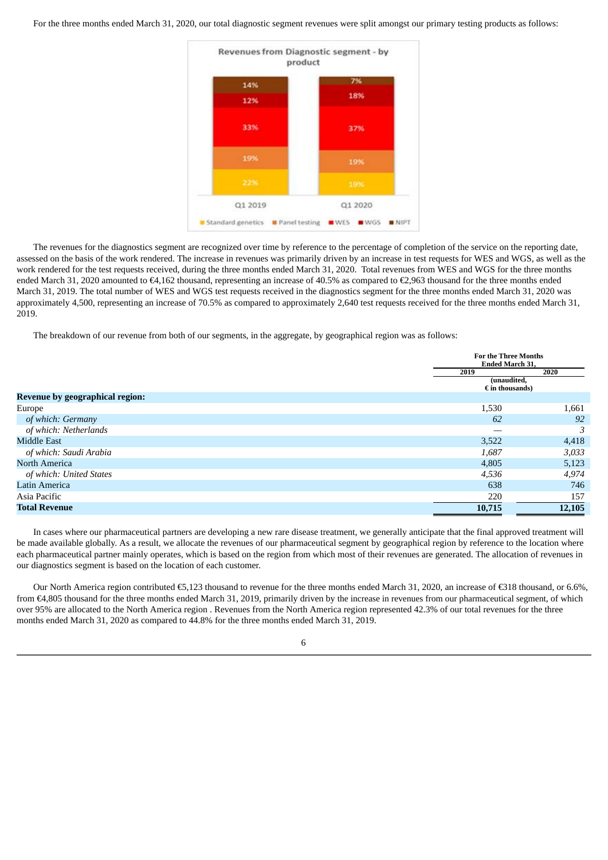For the three months ended March 31, 2020, our total diagnostic segment revenues were split amongst our primary testing products as follows:



The revenues for the diagnostics segment are recognized over time by reference to the percentage of completion of the service on the reporting date, assessed on the basis of the work rendered. The increase in revenues was primarily driven by an increase in test requests for WES and WGS, as well as the work rendered for the test requests received, during the three months ended March 31, 2020. Total revenues from WES and WGS for the three months ended March 31, 2020 amounted to €4,162 thousand, representing an increase of 40.5% as compared to €2,963 thousand for the three months ended March 31, 2019. The total number of WES and WGS test requests received in the diagnostics segment for the three months ended March 31, 2020 was approximately 4,500, representing an increase of 70.5% as compared to approximately 2,640 test requests received for the three months ended March 31, 2019.

The breakdown of our revenue from both of our segments, in the aggregate, by geographical region was as follows:

|                                        | <b>For the Three Months</b><br><b>Ended March 31,</b> |        |
|----------------------------------------|-------------------------------------------------------|--------|
|                                        | 2019                                                  | 2020   |
|                                        | (unaudited,<br>$\epsilon$ in thousands)               |        |
| <b>Revenue by geographical region:</b> |                                                       |        |
| Europe                                 | 1,530                                                 | 1,661  |
| of which: Germany                      | 62                                                    | 92     |
| of which: Netherlands                  |                                                       | 3      |
| Middle East                            | 3,522                                                 | 4,418  |
| of which: Saudi Arabia                 | 1,687                                                 | 3,033  |
| <b>North America</b>                   | 4,805                                                 | 5,123  |
| of which: United States                | 4,536                                                 | 4,974  |
| Latin America                          | 638                                                   | 746    |
| Asia Pacific                           | 220                                                   | 157    |
| <b>Total Revenue</b>                   | 10,715                                                | 12,105 |

In cases where our pharmaceutical partners are developing a new rare disease treatment, we generally anticipate that the final approved treatment will be made available globally. As a result, we allocate the revenues of our pharmaceutical segment by geographical region by reference to the location where each pharmaceutical partner mainly operates, which is based on the region from which most of their revenues are generated. The allocation of revenues in our diagnostics segment is based on the location of each customer.

Our North America region contributed €5,123 thousand to revenue for the three months ended March 31, 2020, an increase of €318 thousand, or 6.6%, from €4,805 thousand for the three months ended March 31, 2019, primarily driven by the increase in revenues from our pharmaceutical segment, of which over 95% are allocated to the North America region . Revenues from the North America region represented 42.3% of our total revenues for the three months ended March 31, 2020 as compared to 44.8% for the three months ended March 31, 2019.

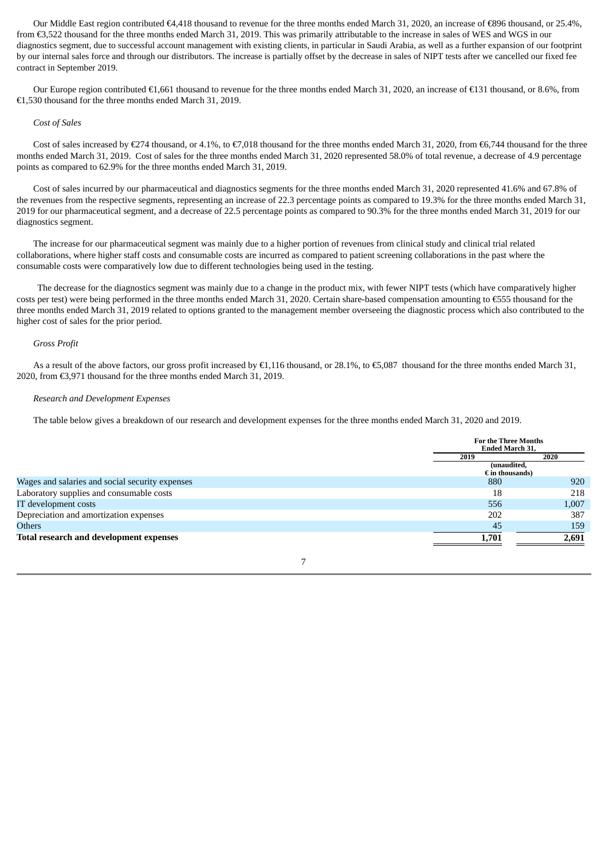Our Middle East region contributed €4,418 thousand to revenue for the three months ended March 31, 2020, an increase of €896 thousand, or 25.4%, from €3,522 thousand for the three months ended March 31, 2019. This was primarily attributable to the increase in sales of WES and WGS in our diagnostics segment, due to successful account management with existing clients, in particular in Saudi Arabia, as well as a further expansion of our footprint by our internal sales force and through our distributors. The increase is partially offset by the decrease in sales of NIPT tests after we cancelled our fixed fee contract in September 2019.

Our Europe region contributed  $\epsilon$ 1,661 thousand to revenue for the three months ended March 31, 2020, an increase of  $\epsilon$ 131 thousand, or 8.6%, from €1,530 thousand for the three months ended March 31, 2019.

#### *Cost of Sales*

Cost of sales increased by  $\epsilon$ 274 thousand, or 4.1%, to  $\epsilon$ 7,018 thousand for the three months ended March 31, 2020, from  $\epsilon$ 6,744 thousand for the three months ended March 31, 2019. Cost of sales for the three months ended March 31, 2020 represented 58.0% of total revenue, a decrease of 4.9 percentage points as compared to 62.9% for the three months ended March 31, 2019.

Cost of sales incurred by our pharmaceutical and diagnostics segments for the three months ended March 31, 2020 represented 41.6% and 67.8% of the revenues from the respective segments, representing an increase of 22.3 percentage points as compared to 19.3% for the three months ended March 31, 2019 for our pharmaceutical segment, and a decrease of 22.5 percentage points as compared to 90.3% for the three months ended March 31, 2019 for our diagnostics segment.

The increase for our pharmaceutical segment was mainly due to a higher portion of revenues from clinical study and clinical trial related collaborations, where higher staff costs and consumable costs are incurred as compared to patient screening collaborations in the past where the consumable costs were comparatively low due to different technologies being used in the testing.

The decrease for the diagnostics segment was mainly due to a change in the product mix, with fewer NIPT tests (which have comparatively higher costs per test) were being performed in the three months ended March 31, 2020. Certain share-based compensation amounting to €555 thousand for the three months ended March 31, 2019 related to options granted to the management member overseeing the diagnostic process which also contributed to the higher cost of sales for the prior period.

#### *Gross Profit*

As a result of the above factors, our gross profit increased by €1,116 thousand, or 28.1%, to €5,087 thousand for the three months ended March 31, 2020, from €3,971 thousand for the three months ended March 31, 2019.

#### *Research and Development Expenses*

The table below gives a breakdown of our research and development expenses for the three months ended March 31, 2020 and 2019.

|                                                 | <b>For the Three Months</b><br><b>Ended March 31.</b> |       |  |
|-------------------------------------------------|-------------------------------------------------------|-------|--|
|                                                 | 2019                                                  | 2020  |  |
|                                                 | (unaudited.<br>$\epsilon$ in thousands)               |       |  |
| Wages and salaries and social security expenses | 880                                                   | 920   |  |
| Laboratory supplies and consumable costs        | 18                                                    | 218   |  |
| IT development costs                            | 556                                                   | 1,007 |  |
| Depreciation and amortization expenses          | 202                                                   | 387   |  |
| <b>Others</b>                                   | 45                                                    | 159   |  |
| Total research and development expenses         | 1,701                                                 | 2,691 |  |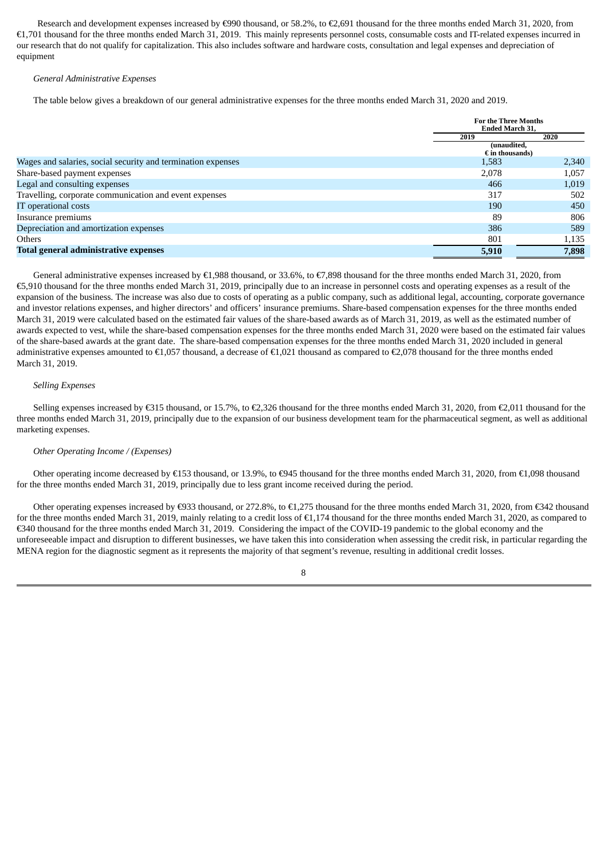Research and development expenses increased by €990 thousand, or 58.2%, to €2,691 thousand for the three months ended March 31, 2020, from €1,701 thousand for the three months ended March 31, 2019. This mainly represents personnel costs, consumable costs and IT-related expenses incurred in our research that do not qualify for capitalization. This also includes software and hardware costs, consultation and legal expenses and depreciation of equipment

#### *General Administrative Expenses*

The table below gives a breakdown of our general administrative expenses for the three months ended March 31, 2020 and 2019.

|                                                              |                                         | <b>For the Three Months</b><br><b>Ended March 31.</b> |  |
|--------------------------------------------------------------|-----------------------------------------|-------------------------------------------------------|--|
|                                                              | 2019                                    | 2020                                                  |  |
|                                                              | (unaudited,<br>$\epsilon$ in thousands) |                                                       |  |
| Wages and salaries, social security and termination expenses | 1,583                                   | 2,340                                                 |  |
| Share-based payment expenses                                 | 2,078                                   | 1,057                                                 |  |
| Legal and consulting expenses                                | 466                                     | 1,019                                                 |  |
| Travelling, corporate communication and event expenses       | 317                                     | 502                                                   |  |
| IT operational costs                                         | 190                                     | 450                                                   |  |
| Insurance premiums                                           | 89                                      | 806                                                   |  |
| Depreciation and amortization expenses                       | 386                                     | 589                                                   |  |
| Others                                                       | 801                                     | 1,135                                                 |  |
| <b>Total general administrative expenses</b>                 | 5,910                                   | 7,898                                                 |  |

General administrative expenses increased by €1,988 thousand, or 33.6%, to €7,898 thousand for the three months ended March 31, 2020, from €5,910 thousand for the three months ended March 31, 2019, principally due to an increase in personnel costs and operating expenses as a result of the expansion of the business. The increase was also due to costs of operating as a public company, such as additional legal, accounting, corporate governance and investor relations expenses, and higher directors' and officers' insurance premiums. Share-based compensation expenses for the three months ended March 31, 2019 were calculated based on the estimated fair values of the share-based awards as of March 31, 2019, as well as the estimated number of awards expected to vest, while the share-based compensation expenses for the three months ended March 31, 2020 were based on the estimated fair values of the share-based awards at the grant date. The share-based compensation expenses for the three months ended March 31, 2020 included in general administrative expenses amounted to €1,057 thousand, a decrease of €1,021 thousand as compared to €2,078 thousand for the three months ended March 31, 2019.

#### *Selling Expenses*

Selling expenses increased by €315 thousand, or 15.7%, to €2,326 thousand for the three months ended March 31, 2020, from €2,011 thousand for the three months ended March 31, 2019, principally due to the expansion of our business development team for the pharmaceutical segment, as well as additional marketing expenses.

#### *Other Operating Income / (Expenses)*

Other operating income decreased by €153 thousand, or 13.9%, to €945 thousand for the three months ended March 31, 2020, from €1,098 thousand for the three months ended March 31, 2019, principally due to less grant income received during the period.

Other operating expenses increased by €933 thousand, or 272.8%, to €1,275 thousand for the three months ended March 31, 2020, from €342 thousand for the three months ended March 31, 2019, mainly relating to a credit loss of €1,174 thousand for the three months ended March 31, 2020, as compared to €340 thousand for the three months ended March 31, 2019. Considering the impact of the COVID-19 pandemic to the global economy and the unforeseeable impact and disruption to different businesses, we have taken this into consideration when assessing the credit risk, in particular regarding the MENA region for the diagnostic segment as it represents the majority of that segment's revenue, resulting in additional credit losses.

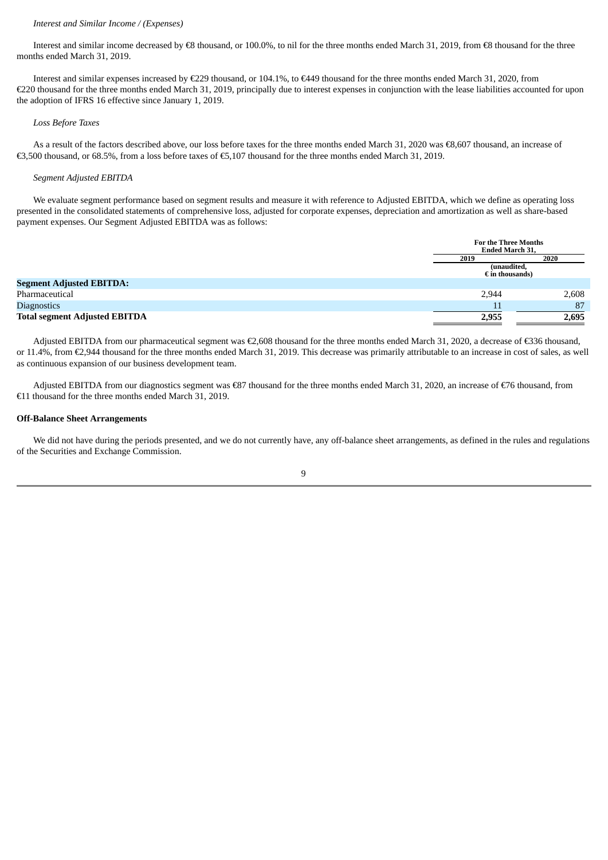#### *Interest and Similar Income / (Expenses)*

Interest and similar income decreased by €8 thousand, or 100.0%, to nil for the three months ended March 31, 2019, from €8 thousand for the three months ended March 31, 2019.

Interest and similar expenses increased by €229 thousand, or 104.1%, to €449 thousand for the three months ended March 31, 2020, from €220 thousand for the three months ended March 31, 2019, principally due to interest expenses in conjunction with the lease liabilities accounted for upon the adoption of IFRS 16 effective since January 1, 2019.

#### *Loss Before Taxes*

As a result of the factors described above, our loss before taxes for the three months ended March 31, 2020 was €8,607 thousand, an increase of €3,500 thousand, or 68.5%, from a loss before taxes of €5,107 thousand for the three months ended March 31, 2019.

#### *Segment Adjusted EBITDA*

We evaluate segment performance based on segment results and measure it with reference to Adjusted EBITDA, which we define as operating loss presented in the consolidated statements of comprehensive loss, adjusted for corporate expenses, depreciation and amortization as well as share-based payment expenses. Our Segment Adjusted EBITDA was as follows:

|                                      | <b>For the Three Months</b><br><b>Ended March 31,</b> |       |
|--------------------------------------|-------------------------------------------------------|-------|
|                                      | 2019                                                  | 2020  |
|                                      | (unaudited.<br>$\epsilon$ in thousands)               |       |
| <b>Segment Adjusted EBITDA:</b>      |                                                       |       |
| Pharmaceutical                       | 2,944                                                 | 2,608 |
| <b>Diagnostics</b>                   |                                                       | 87    |
| <b>Total segment Adjusted EBITDA</b> | 2,955                                                 | 2,695 |

Adjusted EBITDA from our pharmaceutical segment was €2,608 thousand for the three months ended March 31, 2020, a decrease of €336 thousand, or 11.4%, from €2,944 thousand for the three months ended March 31, 2019. This decrease was primarily attributable to an increase in cost of sales, as well as continuous expansion of our business development team.

Adjusted EBITDA from our diagnostics segment was €87 thousand for the three months ended March 31, 2020, an increase of €76 thousand, from €11 thousand for the three months ended March 31, 2019.

#### **Off-Balance Sheet Arrangements**

We did not have during the periods presented, and we do not currently have, any off-balance sheet arrangements, as defined in the rules and regulations of the Securities and Exchange Commission.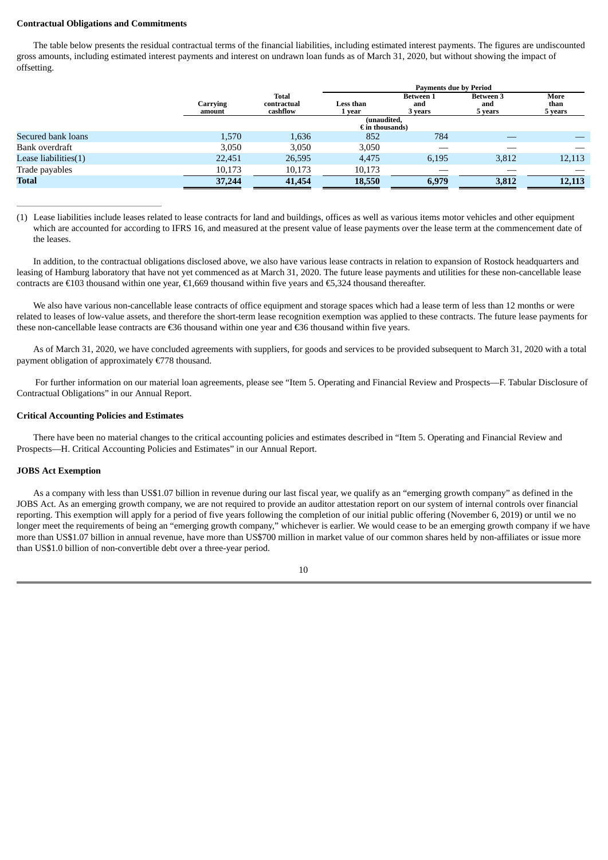# **Contractual Obligations and Commitments**

The table below presents the residual contractual terms of the financial liabilities, including estimated interest payments. The figures are undiscounted gross amounts, including estimated interest payments and interest on undrawn loan funds as of March 31, 2020, but without showing the impact of offsetting.

|                         | <b>Payments due by Period</b> |              |                          |                  |                  |         |
|-------------------------|-------------------------------|--------------|--------------------------|------------------|------------------|---------|
|                         |                               | <b>Total</b> |                          | <b>Between 1</b> | <b>Between 3</b> | More    |
|                         | Carrying                      | contractual  | Less than                | and              | and              | than    |
|                         | amount                        | cashflow     | 1 vear                   | 3 vears          | 5 years          | 5 years |
|                         |                               |              | (unaudited,              |                  |                  |         |
|                         |                               |              | $\epsilon$ in thousands) |                  |                  |         |
| Secured bank loans      | 1,570                         | 1,636        | 852                      | 784              |                  |         |
| Bank overdraft          | 3.050                         | 3,050        | 3,050                    |                  |                  |         |
| Lease liabilities $(1)$ | 22,451                        | 26,595       | 4.475                    | 6,195            | 3,812            | 12,113  |
| Trade payables          | 10,173                        | 10,173       | 10,173                   |                  |                  |         |
| <b>Total</b>            | 37,244                        | 41,454       | 18,550                   | 6,979            | 3,812            | 12,113  |

(1) Lease liabilities include leases related to lease contracts for land and buildings, offices as well as various items motor vehicles and other equipment which are accounted for according to IFRS 16, and measured at the present value of lease payments over the lease term at the commencement date of the leases.

In addition, to the contractual obligations disclosed above, we also have various lease contracts in relation to expansion of Rostock headquarters and leasing of Hamburg laboratory that have not yet commenced as at March 31, 2020. The future lease payments and utilities for these non-cancellable lease contracts are €103 thousand within one year, €1,669 thousand within five years and €5,324 thousand thereafter.

We also have various non-cancellable lease contracts of office equipment and storage spaces which had a lease term of less than 12 months or were related to leases of low-value assets, and therefore the short-term lease recognition exemption was applied to these contracts. The future lease payments for these non-cancellable lease contracts are €36 thousand within one year and €36 thousand within five years.

As of March 31, 2020, we have concluded agreements with suppliers, for goods and services to be provided subsequent to March 31, 2020 with a total payment obligation of approximately €778 thousand.

For further information on our material loan agreements, please see "Item 5. Operating and Financial Review and Prospects—F. Tabular Disclosure of Contractual Obligations" in our Annual Report.

#### **Critical Accounting Policies and Estimates**

There have been no material changes to the critical accounting policies and estimates described in "Item 5. Operating and Financial Review and Prospects—H. Critical Accounting Policies and Estimates" in our Annual Report.

#### **JOBS Act Exemption**

As a company with less than US\$1.07 billion in revenue during our last fiscal year, we qualify as an "emerging growth company" as defined in the JOBS Act. As an emerging growth company, we are not required to provide an auditor attestation report on our system of internal controls over financial reporting. This exemption will apply for a period of five years following the completion of our initial public offering (November 6, 2019) or until we no longer meet the requirements of being an "emerging growth company," whichever is earlier. We would cease to be an emerging growth company if we have more than US\$1.07 billion in annual revenue, have more than US\$700 million in market value of our common shares held by non-affiliates or issue more than US\$1.0 billion of non-convertible debt over a three-year period.

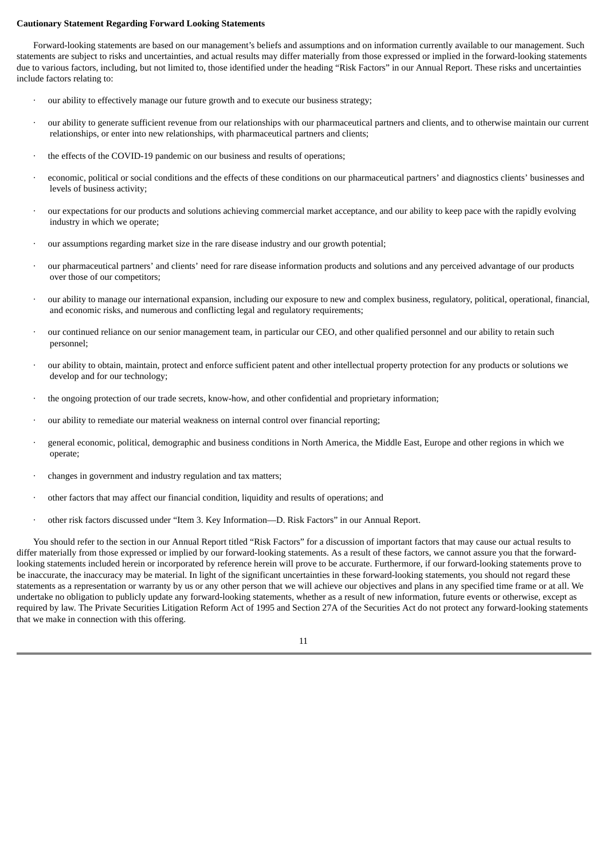#### **Cautionary Statement Regarding Forward Looking Statements**

Forward-looking statements are based on our management's beliefs and assumptions and on information currently available to our management. Such statements are subject to risks and uncertainties, and actual results may differ materially from those expressed or implied in the forward-looking statements due to various factors, including, but not limited to, those identified under the heading "Risk Factors" in our Annual Report. These risks and uncertainties include factors relating to:

- · our ability to effectively manage our future growth and to execute our business strategy;
- · our ability to generate sufficient revenue from our relationships with our pharmaceutical partners and clients, and to otherwise maintain our current relationships, or enter into new relationships, with pharmaceutical partners and clients;
- the effects of the COVID-19 pandemic on our business and results of operations:
- · economic, political or social conditions and the effects of these conditions on our pharmaceutical partners' and diagnostics clients' businesses and levels of business activity;
- · our expectations for our products and solutions achieving commercial market acceptance, and our ability to keep pace with the rapidly evolving industry in which we operate;
- · our assumptions regarding market size in the rare disease industry and our growth potential;
- · our pharmaceutical partners' and clients' need for rare disease information products and solutions and any perceived advantage of our products over those of our competitors;
- · our ability to manage our international expansion, including our exposure to new and complex business, regulatory, political, operational, financial, and economic risks, and numerous and conflicting legal and regulatory requirements;
- · our continued reliance on our senior management team, in particular our CEO, and other qualified personnel and our ability to retain such personnel;
- · our ability to obtain, maintain, protect and enforce sufficient patent and other intellectual property protection for any products or solutions we develop and for our technology;
- · the ongoing protection of our trade secrets, know-how, and other confidential and proprietary information;
- · our ability to remediate our material weakness on internal control over financial reporting;
- · general economic, political, demographic and business conditions in North America, the Middle East, Europe and other regions in which we operate;
- · changes in government and industry regulation and tax matters;
- · other factors that may affect our financial condition, liquidity and results of operations; and
- · other risk factors discussed under "Item 3. Key Information—D. Risk Factors" in our Annual Report.

You should refer to the section in our Annual Report titled "Risk Factors" for a discussion of important factors that may cause our actual results to differ materially from those expressed or implied by our forward-looking statements. As a result of these factors, we cannot assure you that the forwardlooking statements included herein or incorporated by reference herein will prove to be accurate. Furthermore, if our forward-looking statements prove to be inaccurate, the inaccuracy may be material. In light of the significant uncertainties in these forward-looking statements, you should not regard these statements as a representation or warranty by us or any other person that we will achieve our objectives and plans in any specified time frame or at all. We undertake no obligation to publicly update any forward-looking statements, whether as a result of new information, future events or otherwise, except as required by law. The Private Securities Litigation Reform Act of 1995 and Section 27A of the Securities Act do not protect any forward-looking statements that we make in connection with this offering.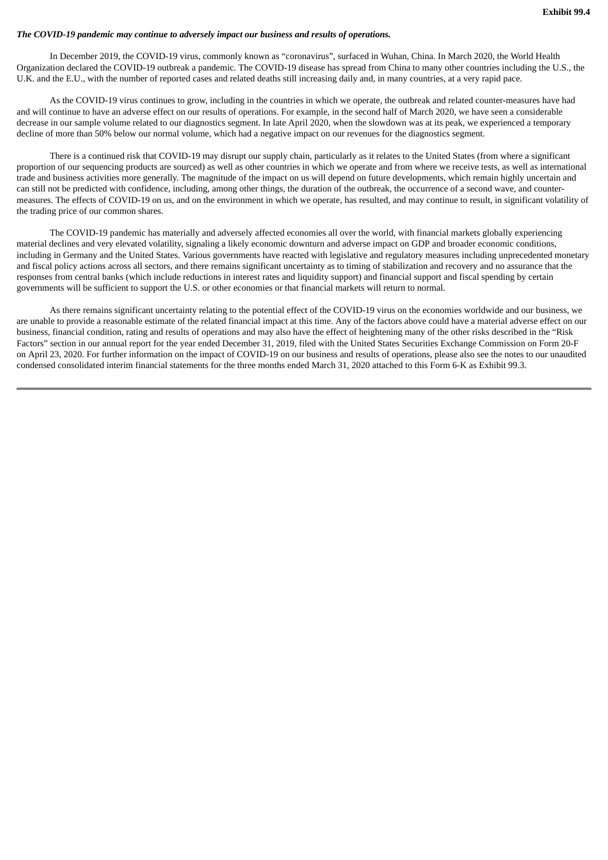#### *The COVID-19 pandemic may continue to adversely impact our business and results of operations.*

In December 2019, the COVID-19 virus, commonly known as "coronavirus", surfaced in Wuhan, China. In March 2020, the World Health Organization declared the COVID-19 outbreak a pandemic. The COVID-19 disease has spread from China to many other countries including the U.S., the U.K. and the E.U., with the number of reported cases and related deaths still increasing daily and, in many countries, at a very rapid pace.

As the COVID-19 virus continues to grow, including in the countries in which we operate, the outbreak and related counter-measures have had and will continue to have an adverse effect on our results of operations. For example, in the second half of March 2020, we have seen a considerable decrease in our sample volume related to our diagnostics segment. In late April 2020, when the slowdown was at its peak, we experienced a temporary decline of more than 50% below our normal volume, which had a negative impact on our revenues for the diagnostics segment.

There is a continued risk that COVID-19 may disrupt our supply chain, particularly as it relates to the United States (from where a significant proportion of our sequencing products are sourced) as well as other countries in which we operate and from where we receive tests, as well as international trade and business activities more generally. The magnitude of the impact on us will depend on future developments, which remain highly uncertain and can still not be predicted with confidence, including, among other things, the duration of the outbreak, the occurrence of a second wave, and countermeasures. The effects of COVID-19 on us, and on the environment in which we operate, has resulted, and may continue to result, in significant volatility of the trading price of our common shares.

The COVID-19 pandemic has materially and adversely affected economies all over the world, with financial markets globally experiencing material declines and very elevated volatility, signaling a likely economic downturn and adverse impact on GDP and broader economic conditions, including in Germany and the United States. Various governments have reacted with legislative and regulatory measures including unprecedented monetary and fiscal policy actions across all sectors, and there remains significant uncertainty as to timing of stabilization and recovery and no assurance that the responses from central banks (which include reductions in interest rates and liquidity support) and financial support and fiscal spending by certain governments will be sufficient to support the U.S. or other economies or that financial markets will return to normal.

As there remains significant uncertainty relating to the potential effect of the COVID-19 virus on the economies worldwide and our business, we are unable to provide a reasonable estimate of the related financial impact at this time. Any of the factors above could have a material adverse effect on our business, financial condition, rating and results of operations and may also have the effect of heightening many of the other risks described in the "Risk Factors" section in our annual report for the year ended December 31, 2019, filed with the United States Securities Exchange Commission on Form 20-F on April 23, 2020. For further information on the impact of COVID-19 on our business and results of operations, please also see the notes to our unaudited condensed consolidated interim financial statements for the three months ended March 31, 2020 attached to this Form 6-K as Exhibit 99.3.